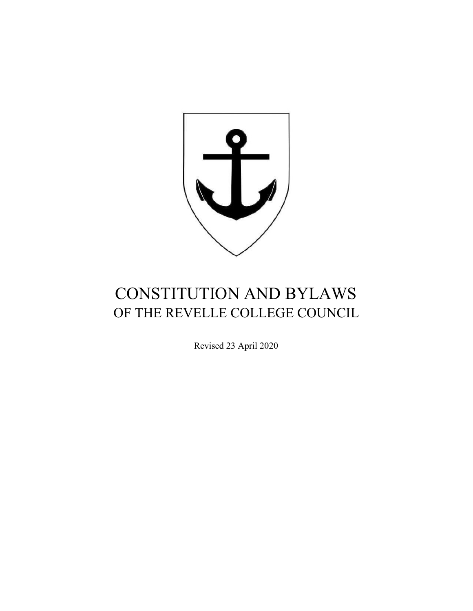

# CONSTITUTION AND BYLAWS OF THE REVELLE COLLEGE COUNCIL

Revised 23 April 2020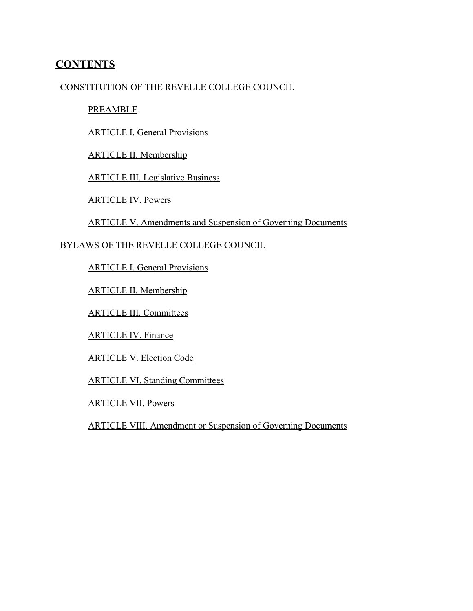# **CONTENTS**

# CONSTITUTION OF THE REVELLE COLLEGE COUNCIL

#### PREAMBLE

ARTICLE I. General Provisions

ARTICLE II. Membership

ARTICLE III. Legislative Business

ARTICLE IV. Powers

ARTICLE V. Amendments and Suspension of Governing Documents

# BYLAWS OF THE REVELLE COLLEGE COUNCIL

ARTICLE I. General Provisions

ARTICLE II. Membership

ARTICLE III. Committees

ARTICLE IV. Finance

ARTICLE V. Election Code

ARTICLE VI. Standing Committees

ARTICLE VII. Powers

ARTICLE VIII. Amendment or Suspension of Governing Documents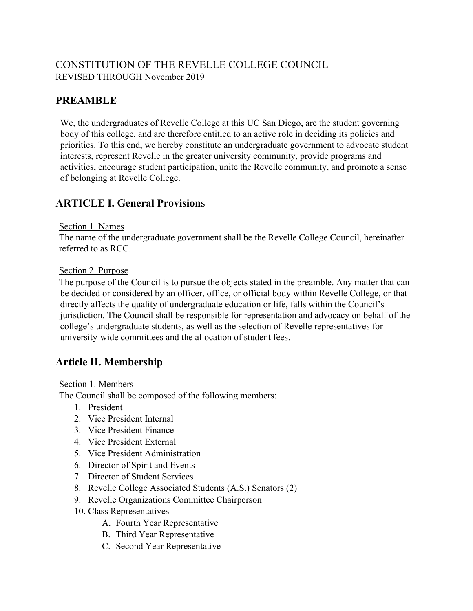# CONSTITUTION OF THE REVELLE COLLEGE COUNCIL REVISED THROUGH November 2019

# **PREAMBLE**

We, the undergraduates of Revelle College at this UC San Diego, are the student governing body of this college, and are therefore entitled to an active role in deciding its policies and priorities. To this end, we hereby constitute an undergraduate government to advocate student interests, represent Revelle in the greater university community, provide programs and activities, encourage student participation, unite the Revelle community, and promote a sense of belonging at Revelle College.

# **ARTICLE I. General Provision**s

# Section 1. Names

The name of the undergraduate government shall be the Revelle College Council, hereinafter referred to as RCC.

# Section 2. Purpose

The purpose of the Council is to pursue the objects stated in the preamble. Any matter that can be decided or considered by an officer, office, or official body within Revelle College, or that directly affects the quality of undergraduate education or life, falls within the Council's jurisdiction. The Council shall be responsible for representation and advocacy on behalf of the college's undergraduate students, as well as the selection of Revelle representatives for university-wide committees and the allocation of student fees.

# **Article II. Membership**

# Section 1. Members

The Council shall be composed of the following members:

- 1. President
- 2. Vice President Internal
- 3. Vice President Finance
- 4. Vice President External
- 5. Vice President Administration
- 6. Director of Spirit and Events
- 7. Director of Student Services
- 8. Revelle College Associated Students (A.S.) Senators (2)
- 9. Revelle Organizations Committee Chairperson
- 10. Class Representatives
	- A. Fourth Year Representative
	- B. Third Year Representative
	- C. Second Year Representative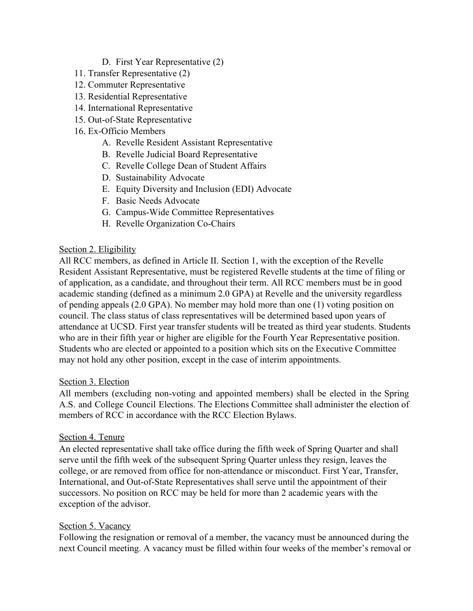- D. First Year Representative (2)
- 11. Transfer Representative (2)
- 12. Commuter Representative
- 13. Residential Representative
- 14. International Representative
- 15. Out-of-State Representative
- 16. Ex-Officio Members
	- A. Revelle Resident Assistant Representative
	- B. Revelle Judicial Board Representative
	- C. Revelle College Dean of Student Affairs
	- D. Sustainability Advocate
	- E. Equity Diversity and Inclusion (EDI) Advocate
	- F. Basic Needs Advocate
	- G. Campus-Wide Committee Representatives
	- H. Revelle Organization Co-Chairs

# Section 2. Eligibility

All RCC members, as defined in Article II. Section 1, with the exception of the Revelle Resident Assistant Representative, must be registered Revelle students at the time of filing or of application, as a candidate, and throughout their term. All RCC members must be in good academic standing (defined as a minimum 2.0 GPA) at Revelle and the university regardless of pending appeals (2.0 GPA). No member may hold more than one (1) voting position on council. The class status of class representatives will be determined based upon years of attendance at UCSD. First year transfer students will be treated as third year students. Students who are in their fifth year or higher are eligible for the Fourth Year Representative position. Students who are elected or appointed to a position which sits on the Executive Committee may not hold any other position, except in the case of interim appointments.

# Section 3. Election

All members (excluding non-voting and appointed members) shall be elected in the Spring A.S. and College Council Elections. The Elections Committee shall administer the election of members of RCC in accordance with the RCC Election Bylaws.

# Section 4. Tenure

An elected representative shall take office during the fifth week of Spring Quarter and shall serve until the fifth week of the subsequent Spring Quarter unless they resign, leaves the college, or are removed from office for non-attendance or misconduct. First Year, Transfer, International, and Out-of-State Representatives shall serve until the appointment of their successors. No position on RCC may be held for more than 2 academic years with the exception of the advisor.

# Section 5. Vacancy

Following the resignation or removal of a member, the vacancy must be announced during the next Council meeting. A vacancy must be filled within four weeks of the member's removal or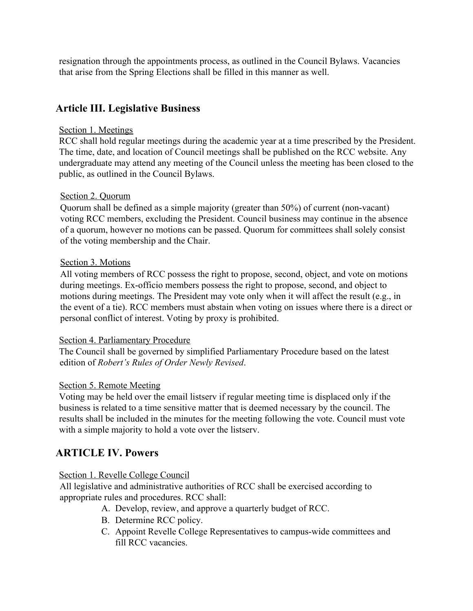resignation through the appointments process, as outlined in the Council Bylaws. Vacancies that arise from the Spring Elections shall be filled in this manner as well.

# **Article III. Legislative Business**

# Section 1. Meetings

RCC shall hold regular meetings during the academic year at a time prescribed by the President. The time, date, and location of Council meetings shall be published on the RCC website. Any undergraduate may attend any meeting of the Council unless the meeting has been closed to the public, as outlined in the Council Bylaws.

# Section 2. Quorum

Quorum shall be defined as a simple majority (greater than 50%) of current (non-vacant) voting RCC members, excluding the President. Council business may continue in the absence of a quorum, however no motions can be passed. Quorum for committees shall solely consist of the voting membership and the Chair.

# Section 3. Motions

All voting members of RCC possess the right to propose, second, object, and vote on motions during meetings. Ex-officio members possess the right to propose, second, and object to motions during meetings. The President may vote only when it will affect the result (e.g., in the event of a tie). RCC members must abstain when voting on issues where there is a direct or personal conflict of interest. Voting by proxy is prohibited.

# Section 4. Parliamentary Procedure

The Council shall be governed by simplified Parliamentary Procedure based on the latest edition of *Robert's Rules of Order Newly Revised*.

# Section 5. Remote Meeting

Voting may be held over the email listserv if regular meeting time is displaced only if the business is related to a time sensitive matter that is deemed necessary by the council. The results shall be included in the minutes for the meeting following the vote. Council must vote with a simple majority to hold a vote over the listserv.

# **ARTICLE IV. Powers**

# Section 1. Revelle College Council

All legislative and administrative authorities of RCC shall be exercised according to appropriate rules and procedures. RCC shall:

- A. Develop, review, and approve a quarterly budget of RCC.
- B. Determine RCC policy.
- C. Appoint Revelle College Representatives to campus-wide committees and fill RCC vacancies.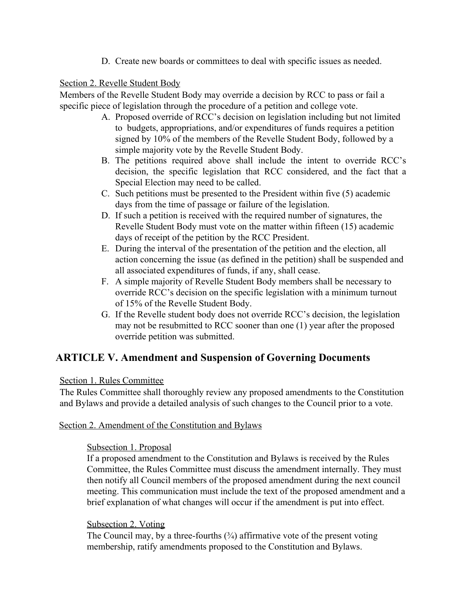D. Create new boards or committees to deal with specific issues as needed.

# Section 2. Revelle Student Body

Members of the Revelle Student Body may override a decision by RCC to pass or fail a specific piece of legislation through the procedure of a petition and college vote.

- A. Proposed override of RCC's decision on legislation including but not limited to budgets, appropriations, and/or expenditures of funds requires a petition signed by 10% of the members of the Revelle Student Body, followed by a simple majority vote by the Revelle Student Body.
- B. The petitions required above shall include the intent to override RCC's decision, the specific legislation that RCC considered, and the fact that a Special Election may need to be called.
- C. Such petitions must be presented to the President within five (5) academic days from the time of passage or failure of the legislation.
- D. If such a petition is received with the required number of signatures, the Revelle Student Body must vote on the matter within fifteen (15) academic days of receipt of the petition by the RCC President.
- E. During the interval of the presentation of the petition and the election, all action concerning the issue (as defined in the petition) shall be suspended and all associated expenditures of funds, if any, shall cease.
- F. A simple majority of Revelle Student Body members shall be necessary to override RCC's decision on the specific legislation with a minimum turnout of 15% of the Revelle Student Body.
- G. If the Revelle student body does not override RCC's decision, the legislation may not be resubmitted to RCC sooner than one (1) year after the proposed override petition was submitted.

# **ARTICLE V. Amendment and Suspension of Governing Documents**

# Section 1. Rules Committee

The Rules Committee shall thoroughly review any proposed amendments to the Constitution and Bylaws and provide a detailed analysis of such changes to the Council prior to a vote.

# Section 2. Amendment of the Constitution and Bylaws

# Subsection 1. Proposal

If a proposed amendment to the Constitution and Bylaws is received by the Rules Committee, the Rules Committee must discuss the amendment internally. They must then notify all Council members of the proposed amendment during the next council meeting. This communication must include the text of the proposed amendment and a brief explanation of what changes will occur if the amendment is put into effect.

# Subsection 2. Voting

The Council may, by a three-fourths  $(3/4)$  affirmative vote of the present voting membership, ratify amendments proposed to the Constitution and Bylaws.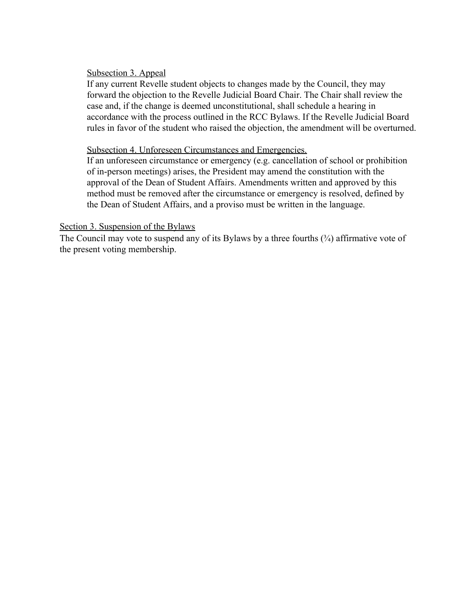#### Subsection 3. Appeal

If any current Revelle student objects to changes made by the Council, they may forward the objection to the Revelle Judicial Board Chair. The Chair shall review the case and, if the change is deemed unconstitutional, shall schedule a hearing in accordance with the process outlined in the RCC Bylaws. If the Revelle Judicial Board rules in favor of the student who raised the objection, the amendment will be overturned.

#### Subsection 4. Unforeseen Circumstances and Emergencies.

If an unforeseen circumstance or emergency (e.g. cancellation of school or prohibition of in-person meetings) arises, the President may amend the constitution with the approval of the Dean of Student Affairs. Amendments written and approved by this method must be removed after the circumstance or emergency is resolved, defined by the Dean of Student Affairs, and a proviso must be written in the language.

#### Section 3. Suspension of the Bylaws

The Council may vote to suspend any of its Bylaws by a three fourths  $(3/4)$  affirmative vote of the present voting membership.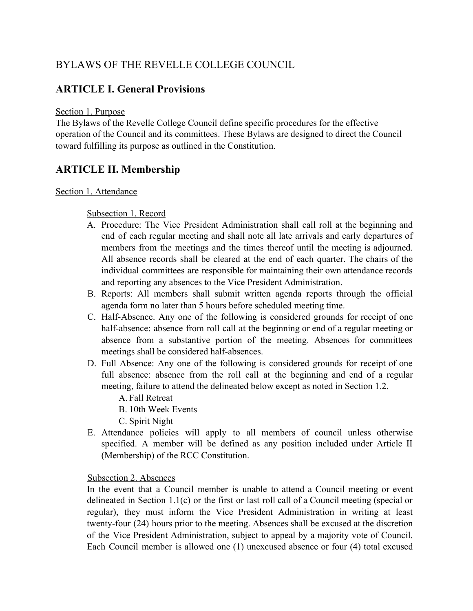# BYLAWS OF THE REVELLE COLLEGE COUNCIL

# **ARTICLE I. General Provisions**

# Section 1. Purpose

The Bylaws of the Revelle College Council define specific procedures for the effective operation of the Council and its committees. These Bylaws are designed to direct the Council toward fulfilling its purpose as outlined in the Constitution.

# **ARTICLE II. Membership**

# Section 1. Attendance

# Subsection 1. Record

- A. Procedure: The Vice President Administration shall call roll at the beginning and end of each regular meeting and shall note all late arrivals and early departures of members from the meetings and the times thereof until the meeting is adjourned. All absence records shall be cleared at the end of each quarter. The chairs of the individual committees are responsible for maintaining their own attendance records and reporting any absences to the Vice President Administration.
- B. Reports: All members shall submit written agenda reports through the official agenda form no later than 5 hours before scheduled meeting time.
- C. Half-Absence. Any one of the following is considered grounds for receipt of one half-absence: absence from roll call at the beginning or end of a regular meeting or absence from a substantive portion of the meeting. Absences for committees meetings shall be considered half-absences.
- D. Full Absence: Any one of the following is considered grounds for receipt of one full absence: absence from the roll call at the beginning and end of a regular meeting, failure to attend the delineated below except as noted in Section 1.2.
	- A. Fall Retreat
	- B. 10th Week Events
	- C. Spirit Night
- E. Attendance policies will apply to all members of council unless otherwise specified. A member will be defined as any position included under Article II (Membership) of the RCC Constitution.

#### Subsection 2. Absences

In the event that a Council member is unable to attend a Council meeting or event delineated in Section 1.1(c) or the first or last roll call of a Council meeting (special or regular), they must inform the Vice President Administration in writing at least twenty-four (24) hours prior to the meeting. Absences shall be excused at the discretion of the Vice President Administration, subject to appeal by a majority vote of Council. Each Council member is allowed one (1) unexcused absence or four (4) total excused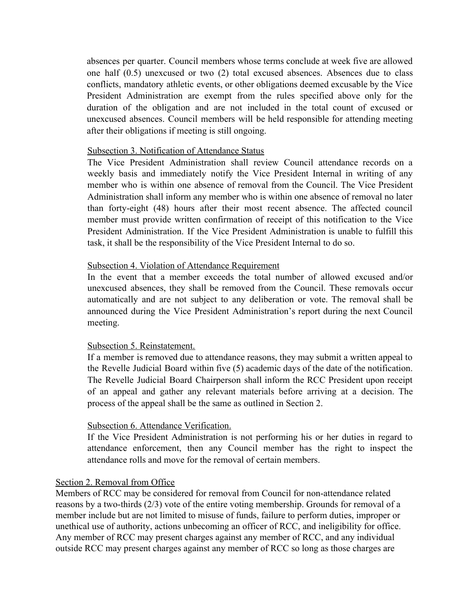absences per quarter. Council members whose terms conclude at week five are allowed one half (0.5) unexcused or two (2) total excused absences. Absences due to class conflicts, mandatory athletic events, or other obligations deemed excusable by the Vice President Administration are exempt from the rules specified above only for the duration of the obligation and are not included in the total count of excused or unexcused absences. Council members will be held responsible for attending meeting after their obligations if meeting is still ongoing.

#### Subsection 3. Notification of Attendance Status

The Vice President Administration shall review Council attendance records on a weekly basis and immediately notify the Vice President Internal in writing of any member who is within one absence of removal from the Council. The Vice President Administration shall inform any member who is within one absence of removal no later than forty-eight (48) hours after their most recent absence. The affected council member must provide written confirmation of receipt of this notification to the Vice President Administration. If the Vice President Administration is unable to fulfill this task, it shall be the responsibility of the Vice President Internal to do so.

# Subsection 4. Violation of Attendance Requirement

In the event that a member exceeds the total number of allowed excused and/or unexcused absences, they shall be removed from the Council. These removals occur automatically and are not subject to any deliberation or vote. The removal shall be announced during the Vice President Administration's report during the next Council meeting.

#### Subsection 5. Reinstatement.

If a member is removed due to attendance reasons, they may submit a written appeal to the Revelle Judicial Board within five (5) academic days of the date of the notification. The Revelle Judicial Board Chairperson shall inform the RCC President upon receipt of an appeal and gather any relevant materials before arriving at a decision. The process of the appeal shall be the same as outlined in Section 2.

#### Subsection 6. Attendance Verification.

If the Vice President Administration is not performing his or her duties in regard to attendance enforcement, then any Council member has the right to inspect the attendance rolls and move for the removal of certain members.

#### Section 2. Removal from Office

Members of RCC may be considered for removal from Council for non-attendance related reasons by a two-thirds (2/3) vote of the entire voting membership. Grounds for removal of a member include but are not limited to misuse of funds, failure to perform duties, improper or unethical use of authority, actions unbecoming an officer of RCC, and ineligibility for office. Any member of RCC may present charges against any member of RCC, and any individual outside RCC may present charges against any member of RCC so long as those charges are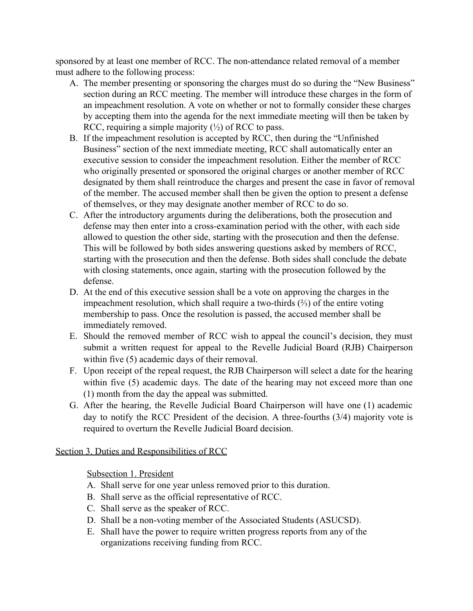sponsored by at least one member of RCC. The non-attendance related removal of a member must adhere to the following process:

- A. The member presenting or sponsoring the charges must do so during the "New Business" section during an RCC meeting. The member will introduce these charges in the form of an impeachment resolution. A vote on whether or not to formally consider these charges by accepting them into the agenda for the next immediate meeting will then be taken by RCC, requiring a simple majority  $(\frac{1}{2})$  of RCC to pass.
- B. If the impeachment resolution is accepted by RCC, then during the "Unfinished Business" section of the next immediate meeting, RCC shall automatically enter an executive session to consider the impeachment resolution. Either the member of RCC who originally presented or sponsored the original charges or another member of RCC designated by them shall reintroduce the charges and present the case in favor of removal of the member. The accused member shall then be given the option to present a defense of themselves, or they may designate another member of RCC to do so.
- C. After the introductory arguments during the deliberations, both the prosecution and defense may then enter into a cross-examination period with the other, with each side allowed to question the other side, starting with the prosecution and then the defense. This will be followed by both sides answering questions asked by members of RCC, starting with the prosecution and then the defense. Both sides shall conclude the debate with closing statements, once again, starting with the prosecution followed by the defense.
- D. At the end of this executive session shall be a vote on approving the charges in the impeachment resolution, which shall require a two-thirds (⅔) of the entire voting membership to pass. Once the resolution is passed, the accused member shall be immediately removed.
- E. Should the removed member of RCC wish to appeal the council's decision, they must submit a written request for appeal to the Revelle Judicial Board (RJB) Chairperson within five (5) academic days of their removal.
- F. Upon receipt of the repeal request, the RJB Chairperson will select a date for the hearing within five (5) academic days. The date of the hearing may not exceed more than one (1) month from the day the appeal was submitted.
- G. After the hearing, the Revelle Judicial Board Chairperson will have one (1) academic day to notify the RCC President of the decision. A three-fourths (3/4) majority vote is required to overturn the Revelle Judicial Board decision.

# Section 3. Duties and Responsibilities of RCC

Subsection 1. President

- A. Shall serve for one year unless removed prior to this duration.
- B. Shall serve as the official representative of RCC.
- C. Shall serve as the speaker of RCC.
- D. Shall be a non-voting member of the Associated Students (ASUCSD).
- E. Shall have the power to require written progress reports from any of the organizations receiving funding from RCC.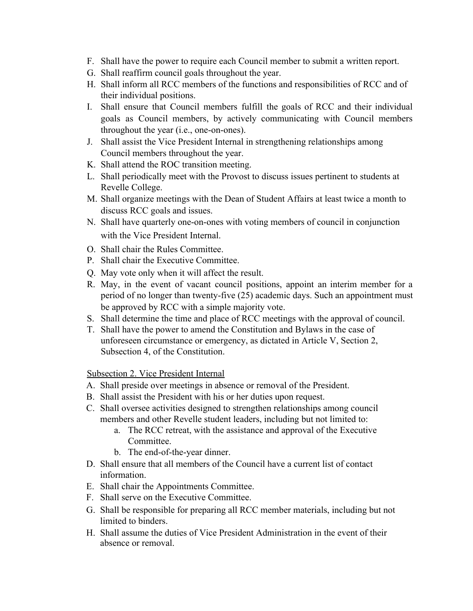- F. Shall have the power to require each Council member to submit a written report.
- G. Shall reaffirm council goals throughout the year.
- H. Shall inform all RCC members of the functions and responsibilities of RCC and of their individual positions.
- I. Shall ensure that Council members fulfill the goals of RCC and their individual goals as Council members, by actively communicating with Council members throughout the year (i.e., one-on-ones).
- J. Shall assist the Vice President Internal in strengthening relationships among Council members throughout the year.
- K. Shall attend the ROC transition meeting.
- L. Shall periodically meet with the Provost to discuss issues pertinent to students at Revelle College.
- M. Shall organize meetings with the Dean of Student Affairs at least twice a month to discuss RCC goals and issues.
- N. Shall have quarterly one-on-ones with voting members of council in conjunction with the Vice President Internal.
- O. Shall chair the Rules Committee.
- P. Shall chair the Executive Committee.
- Q. May vote only when it will affect the result.
- R. May, in the event of vacant council positions, appoint an interim member for a period of no longer than twenty-five (25) academic days. Such an appointment must be approved by RCC with a simple majority vote.
- S. Shall determine the time and place of RCC meetings with the approval of council.
- T. Shall have the power to amend the Constitution and Bylaws in the case of unforeseen circumstance or emergency, as dictated in Article V, Section 2, Subsection 4, of the Constitution.

Subsection 2. Vice President Internal

- A. Shall preside over meetings in absence or removal of the President.
- B. Shall assist the President with his or her duties upon request.
- C. Shall oversee activities designed to strengthen relationships among council members and other Revelle student leaders, including but not limited to:
	- a. The RCC retreat, with the assistance and approval of the Executive Committee.
	- b. The end-of-the-year dinner.
- D. Shall ensure that all members of the Council have a current list of contact information.
- E. Shall chair the Appointments Committee.
- F. Shall serve on the Executive Committee.
- G. Shall be responsible for preparing all RCC member materials, including but not limited to binders.
- H. Shall assume the duties of Vice President Administration in the event of their absence or removal.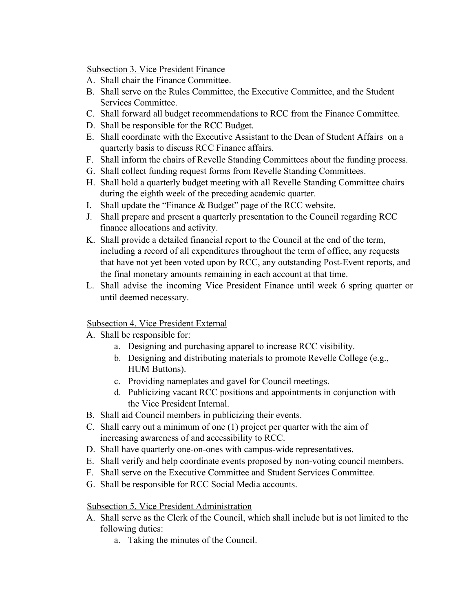Subsection 3. Vice President Finance

- A. Shall chair the Finance Committee.
- B. Shall serve on the Rules Committee, the Executive Committee, and the Student Services Committee.
- C. Shall forward all budget recommendations to RCC from the Finance Committee.
- D. Shall be responsible for the RCC Budget.
- E. Shall coordinate with the Executive Assistant to the Dean of Student Affairs on a quarterly basis to discuss RCC Finance affairs.
- F. Shall inform the chairs of Revelle Standing Committees about the funding process.
- G. Shall collect funding request forms from Revelle Standing Committees.
- H. Shall hold a quarterly budget meeting with all Revelle Standing Committee chairs during the eighth week of the preceding academic quarter.
- I. Shall update the "Finance & Budget" page of the RCC website.
- J. Shall prepare and present a quarterly presentation to the Council regarding RCC finance allocations and activity.
- K. Shall provide a detailed financial report to the Council at the end of the term, including a record of all expenditures throughout the term of office, any requests that have not yet been voted upon by RCC, any outstanding Post-Event reports, and the final monetary amounts remaining in each account at that time.
- L. Shall advise the incoming Vice President Finance until week 6 spring quarter or until deemed necessary.

# Subsection 4. Vice President External

- A. Shall be responsible for:
	- a. Designing and purchasing apparel to increase RCC visibility.
	- b. Designing and distributing materials to promote Revelle College (e.g., HUM Buttons).
	- c. Providing nameplates and gavel for Council meetings.
	- d. Publicizing vacant RCC positions and appointments in conjunction with the Vice President Internal.
- B. Shall aid Council members in publicizing their events.
- C. Shall carry out a minimum of one (1) project per quarter with the aim of increasing awareness of and accessibility to RCC.
- D. Shall have quarterly one-on-ones with campus-wide representatives.
- E. Shall verify and help coordinate events proposed by non-voting council members.
- F. Shall serve on the Executive Committee and Student Services Committee.
- G. Shall be responsible for RCC Social Media accounts.

# Subsection 5. Vice President Administration

- A. Shall serve as the Clerk of the Council, which shall include but is not limited to the following duties:
	- a. Taking the minutes of the Council.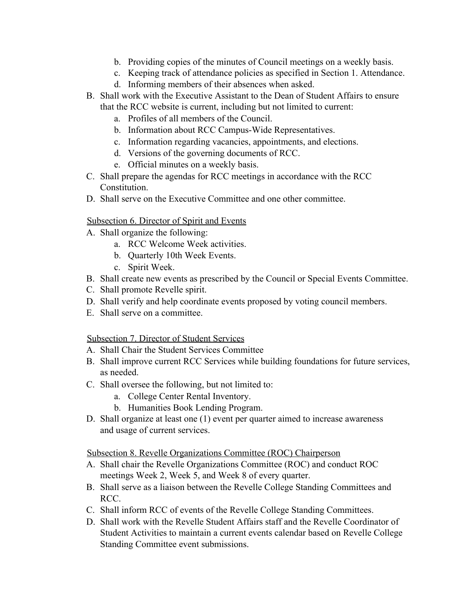- b. Providing copies of the minutes of Council meetings on a weekly basis.
- c. Keeping track of attendance policies as specified in Section 1. Attendance.
- d. Informing members of their absences when asked.
- B. Shall work with the Executive Assistant to the Dean of Student Affairs to ensure that the RCC website is current, including but not limited to current:
	- a. Profiles of all members of the Council.
	- b. Information about RCC Campus-Wide Representatives.
	- c. Information regarding vacancies, appointments, and elections.
	- d. Versions of the governing documents of RCC.
	- e. Official minutes on a weekly basis.
- C. Shall prepare the agendas for RCC meetings in accordance with the RCC Constitution.
- D. Shall serve on the Executive Committee and one other committee.

# Subsection 6. Director of Spirit and Events

- A. Shall organize the following:
	- a. RCC Welcome Week activities.
	- b. Quarterly 10th Week Events.
	- c. Spirit Week.
- B. Shall create new events as prescribed by the Council or Special Events Committee.
- C. Shall promote Revelle spirit.
- D. Shall verify and help coordinate events proposed by voting council members.
- E. Shall serve on a committee.

# Subsection 7. Director of Student Services

- A. Shall Chair the Student Services Committee
- B. Shall improve current RCC Services while building foundations for future services, as needed.
- C. Shall oversee the following, but not limited to:
	- a. College Center Rental Inventory.
	- b. Humanities Book Lending Program.
- D. Shall organize at least one (1) event per quarter aimed to increase awareness and usage of current services.

# Subsection 8. Revelle Organizations Committee (ROC) Chairperson

- A. Shall chair the Revelle Organizations Committee (ROC) and conduct ROC meetings Week 2, Week 5, and Week 8 of every quarter.
- B. Shall serve as a liaison between the Revelle College Standing Committees and RCC.
- C. Shall inform RCC of events of the Revelle College Standing Committees.
- D. Shall work with the Revelle Student Affairs staff and the Revelle Coordinator of Student Activities to maintain a current events calendar based on Revelle College Standing Committee event submissions.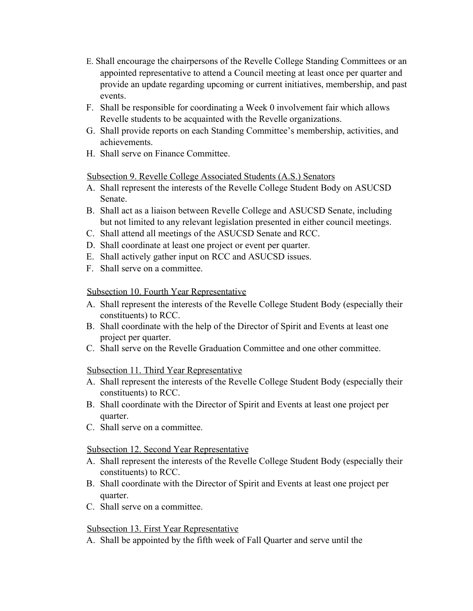- E. Shall encourage the chairpersons of the Revelle College Standing Committees or an appointed representative to attend a Council meeting at least once per quarter and provide an update regarding upcoming or current initiatives, membership, and past events.
- F. Shall be responsible for coordinating a Week 0 involvement fair which allows Revelle students to be acquainted with the Revelle organizations.
- G. Shall provide reports on each Standing Committee's membership, activities, and achievements.
- H. Shall serve on Finance Committee.

# Subsection 9. Revelle College Associated Students (A.S.) Senators

- A. Shall represent the interests of the Revelle College Student Body on ASUCSD Senate.
- B. Shall act as a liaison between Revelle College and ASUCSD Senate, including but not limited to any relevant legislation presented in either council meetings.
- C. Shall attend all meetings of the ASUCSD Senate and RCC.
- D. Shall coordinate at least one project or event per quarter.
- E. Shall actively gather input on RCC and ASUCSD issues.
- F. Shall serve on a committee.

# Subsection 10. Fourth Year Representative

- A. Shall represent the interests of the Revelle College Student Body (especially their constituents) to RCC.
- B. Shall coordinate with the help of the Director of Spirit and Events at least one project per quarter.
- C. Shall serve on the Revelle Graduation Committee and one other committee.

# Subsection 11. Third Year Representative

- A. Shall represent the interests of the Revelle College Student Body (especially their constituents) to RCC.
- B. Shall coordinate with the Director of Spirit and Events at least one project per quarter.
- C. Shall serve on a committee.

# Subsection 12. Second Year Representative

- A. Shall represent the interests of the Revelle College Student Body (especially their constituents) to RCC.
- B. Shall coordinate with the Director of Spirit and Events at least one project per quarter.
- C. Shall serve on a committee.

# Subsection 13. First Year Representative

A. Shall be appointed by the fifth week of Fall Quarter and serve until the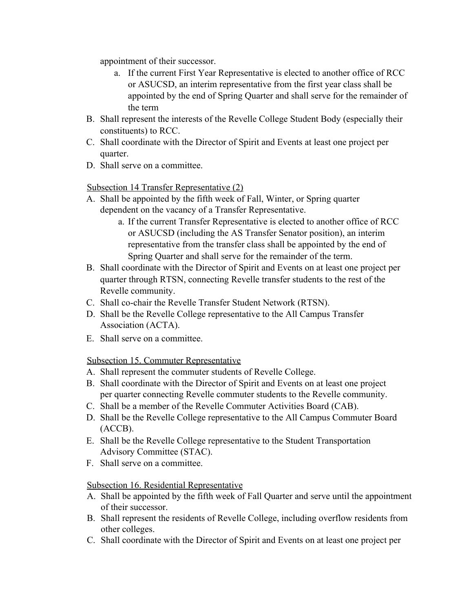appointment of their successor.

- a. If the current First Year Representative is elected to another office of RCC or ASUCSD, an interim representative from the first year class shall be appointed by the end of Spring Quarter and shall serve for the remainder of the term
- B. Shall represent the interests of the Revelle College Student Body (especially their constituents) to RCC.
- C. Shall coordinate with the Director of Spirit and Events at least one project per quarter.
- D. Shall serve on a committee.

Subsection 14 Transfer Representative (2)

- A. Shall be appointed by the fifth week of Fall, Winter, or Spring quarter dependent on the vacancy of a Transfer Representative.
	- a. If the current Transfer Representative is elected to another office of RCC or ASUCSD (including the AS Transfer Senator position), an interim representative from the transfer class shall be appointed by the end of Spring Quarter and shall serve for the remainder of the term.
- B. Shall coordinate with the Director of Spirit and Events on at least one project per quarter through RTSN, connecting Revelle transfer students to the rest of the Revelle community.
- C. Shall co-chair the Revelle Transfer Student Network (RTSN).
- D. Shall be the Revelle College representative to the All Campus Transfer Association (ACTA).
- E. Shall serve on a committee.

Subsection 15. Commuter Representative

- A. Shall represent the commuter students of Revelle College.
- B. Shall coordinate with the Director of Spirit and Events on at least one project per quarter connecting Revelle commuter students to the Revelle community.
- C. Shall be a member of the Revelle Commuter Activities Board (CAB).
- D. Shall be the Revelle College representative to the All Campus Commuter Board (ACCB).
- E. Shall be the Revelle College representative to the Student Transportation Advisory Committee (STAC).
- F. Shall serve on a committee.

# Subsection 16. Residential Representative

- A. Shall be appointed by the fifth week of Fall Quarter and serve until the appointment of their successor.
- B. Shall represent the residents of Revelle College, including overflow residents from other colleges.
- C. Shall coordinate with the Director of Spirit and Events on at least one project per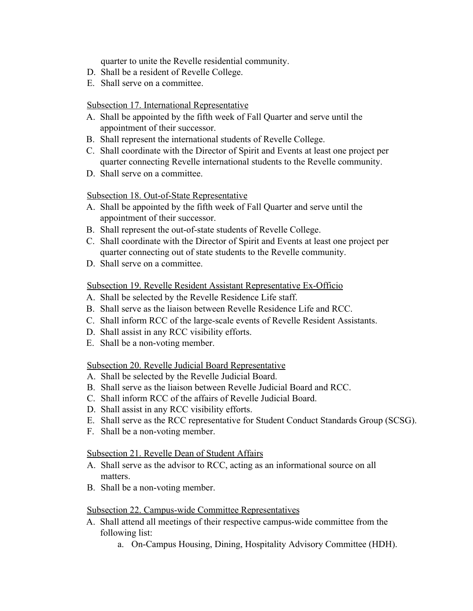quarter to unite the Revelle residential community.

- D. Shall be a resident of Revelle College.
- E. Shall serve on a committee.

#### Subsection 17. International Representative

- A. Shall be appointed by the fifth week of Fall Quarter and serve until the appointment of their successor.
- B. Shall represent the international students of Revelle College.
- C. Shall coordinate with the Director of Spirit and Events at least one project per quarter connecting Revelle international students to the Revelle community.
- D. Shall serve on a committee.

# Subsection 18. Out-of-State Representative

- A. Shall be appointed by the fifth week of Fall Quarter and serve until the appointment of their successor.
- B. Shall represent the out-of-state students of Revelle College.
- C. Shall coordinate with the Director of Spirit and Events at least one project per quarter connecting out of state students to the Revelle community.
- D. Shall serve on a committee.

# Subsection 19. Revelle Resident Assistant Representative Ex-Officio

- A. Shall be selected by the Revelle Residence Life staff.
- B. Shall serve as the liaison between Revelle Residence Life and RCC.
- C. Shall inform RCC of the large-scale events of Revelle Resident Assistants.
- D. Shall assist in any RCC visibility efforts.
- E. Shall be a non-voting member.

#### Subsection 20. Revelle Judicial Board Representative

- A. Shall be selected by the Revelle Judicial Board.
- B. Shall serve as the liaison between Revelle Judicial Board and RCC.
- C. Shall inform RCC of the affairs of Revelle Judicial Board.
- D. Shall assist in any RCC visibility efforts.
- E. Shall serve as the RCC representative for Student Conduct Standards Group (SCSG).
- F. Shall be a non-voting member.

#### Subsection 21. Revelle Dean of Student Affairs

- A. Shall serve as the advisor to RCC, acting as an informational source on all matters.
- B. Shall be a non-voting member.

#### Subsection 22. Campus-wide Committee Representatives

- A. Shall attend all meetings of their respective campus-wide committee from the following list:
	- a. On-Campus Housing, Dining, Hospitality Advisory Committee (HDH).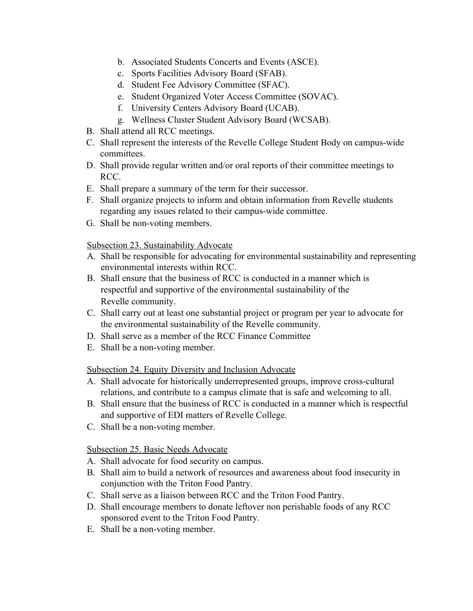- b. Associated Students Concerts and Events (ASCE).
- c. Sports Facilities Advisory Board (SFAB).
- d. Student Fee Advisory Committee (SFAC).
- e. Student Organized Voter Access Committee (SOVAC).
- f. University Centers Advisory Board (UCAB).
- g. Wellness Cluster Student Advisory Board (WCSAB).
- B. Shall attend all RCC meetings.
- C. Shall represent the interests of the Revelle College Student Body on campus-wide committees.
- D. Shall provide regular written and/or oral reports of their committee meetings to RCC.
- E. Shall prepare a summary of the term for their successor.
- F. Shall organize projects to inform and obtain information from Revelle students regarding any issues related to their campus-wide committee.
- G. Shall be non-voting members.

# Subsection 23. Sustainability Advocate

- A. Shall be responsible for advocating for environmental sustainability and representing environmental interests within RCC.
- B. Shall ensure that the business of RCC is conducted in a manner which is respectful and supportive of the environmental sustainability of the Revelle community.
- C. Shall carry out at least one substantial project or program per year to advocate for the environmental sustainability of the Revelle community.
- D. Shall serve as a member of the RCC Finance Committee
- E. Shall be a non-voting member.

# Subsection 24. Equity Diversity and Inclusion Advocate

- A. Shall advocate for historically underrepresented groups, improve cross-cultural relations, and contribute to a campus climate that is safe and welcoming to all.
- B. Shall ensure that the business of RCC is conducted in a manner which is respectful and supportive of EDI matters of Revelle College.
- C. Shall be a non-voting member.

# Subsection 25. Basic Needs Advocate

- A. Shall advocate for food security on campus.
- B. Shall aim to build a network of resources and awareness about food insecurity in conjunction with the Triton Food Pantry.
- C. Shall serve as a liaison between RCC and the Triton Food Pantry.
- D. Shall encourage members to donate leftover non perishable foods of any RCC sponsored event to the Triton Food Pantry.
- E. Shall be a non-voting member.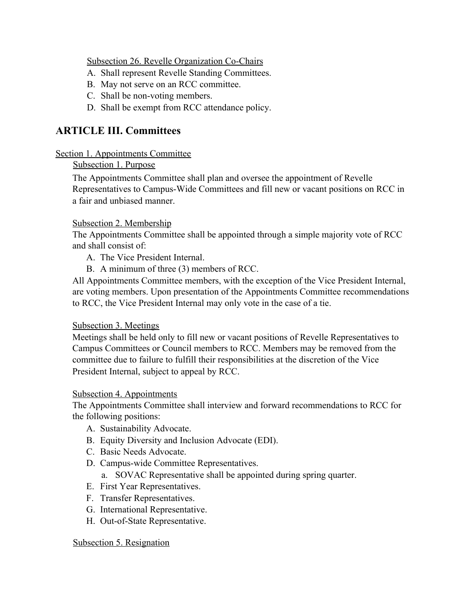Subsection 26. Revelle Organization Co-Chairs

- A. Shall represent Revelle Standing Committees.
- B. May not serve on an RCC committee.
- C. Shall be non-voting members.
- D. Shall be exempt from RCC attendance policy.

# **ARTICLE III. Committees**

# Section 1. Appointments Committee

# Subsection 1. Purpose

The Appointments Committee shall plan and oversee the appointment of Revelle Representatives to Campus-Wide Committees and fill new or vacant positions on RCC in a fair and unbiased manner.

# Subsection 2. Membership

The Appointments Committee shall be appointed through a simple majority vote of RCC and shall consist of:

A. The Vice President Internal.

B. A minimum of three (3) members of RCC.

All Appointments Committee members, with the exception of the Vice President Internal, are voting members. Upon presentation of the Appointments Committee recommendations to RCC, the Vice President Internal may only vote in the case of a tie.

# Subsection 3. Meetings

Meetings shall be held only to fill new or vacant positions of Revelle Representatives to Campus Committees or Council members to RCC. Members may be removed from the committee due to failure to fulfill their responsibilities at the discretion of the Vice President Internal, subject to appeal by RCC.

# Subsection 4. Appointments

The Appointments Committee shall interview and forward recommendations to RCC for the following positions:

- A. Sustainability Advocate.
- B. Equity Diversity and Inclusion Advocate (EDI).
- C. Basic Needs Advocate.
- D. Campus-wide Committee Representatives.
	- a. SOVAC Representative shall be appointed during spring quarter.
- E. First Year Representatives.
- F. Transfer Representatives.
- G. International Representative.
- H. Out-of-State Representative.

# Subsection 5. Resignation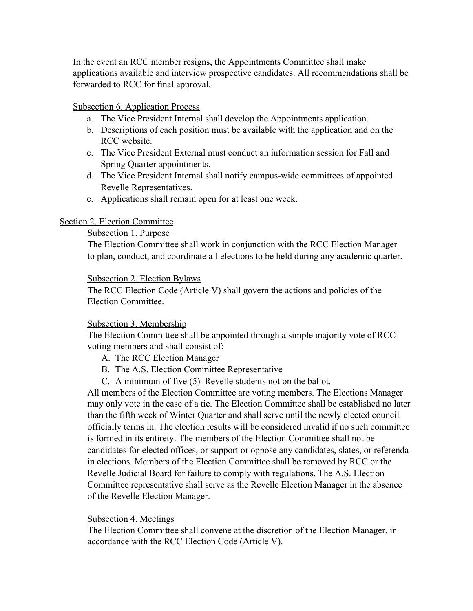In the event an RCC member resigns, the Appointments Committee shall make applications available and interview prospective candidates. All recommendations shall be forwarded to RCC for final approval.

#### Subsection 6. Application Process

- a. The Vice President Internal shall develop the Appointments application.
- b. Descriptions of each position must be available with the application and on the RCC website.
- c. The Vice President External must conduct an information session for Fall and Spring Quarter appointments.
- d. The Vice President Internal shall notify campus-wide committees of appointed Revelle Representatives.
- e. Applications shall remain open for at least one week.

# Section 2. Election Committee

# Subsection 1. Purpose

The Election Committee shall work in conjunction with the RCC Election Manager to plan, conduct, and coordinate all elections to be held during any academic quarter.

#### Subsection 2. Election Bylaws

The RCC Election Code (Article V) shall govern the actions and policies of the Election Committee.

#### Subsection 3. Membership

The Election Committee shall be appointed through a simple majority vote of RCC voting members and shall consist of:

- A. The RCC Election Manager
- B. The A.S. Election Committee Representative
- C. A minimum of five (5) Revelle students not on the ballot.

All members of the Election Committee are voting members. The Elections Manager may only vote in the case of a tie. The Election Committee shall be established no later than the fifth week of Winter Quarter and shall serve until the newly elected council officially terms in. The election results will be considered invalid if no such committee is formed in its entirety. The members of the Election Committee shall not be candidates for elected offices, or support or oppose any candidates, slates, or referenda in elections. Members of the Election Committee shall be removed by RCC or the Revelle Judicial Board for failure to comply with regulations. The A.S. Election Committee representative shall serve as the Revelle Election Manager in the absence of the Revelle Election Manager.

# Subsection 4. Meetings

The Election Committee shall convene at the discretion of the Election Manager, in accordance with the RCC Election Code (Article V).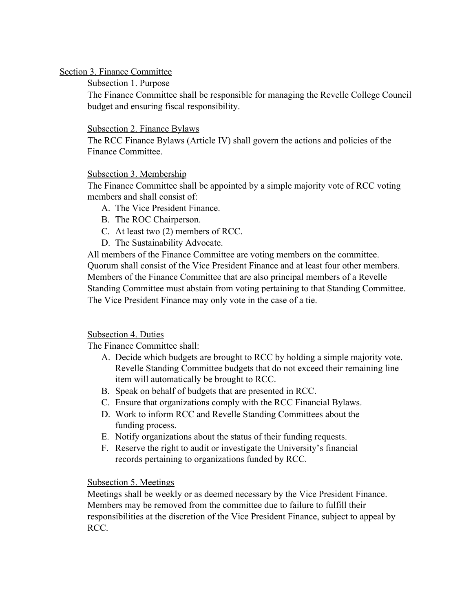# Section 3. Finance Committee

# Subsection 1. Purpose

The Finance Committee shall be responsible for managing the Revelle College Council budget and ensuring fiscal responsibility.

# Subsection 2. Finance Bylaws

The RCC Finance Bylaws (Article IV) shall govern the actions and policies of the Finance Committee.

# Subsection 3. Membership

The Finance Committee shall be appointed by a simple majority vote of RCC voting members and shall consist of:

- A. The Vice President Finance.
- B. The ROC Chairperson.
- C. At least two (2) members of RCC.
- D. The Sustainability Advocate.

All members of the Finance Committee are voting members on the committee. Quorum shall consist of the Vice President Finance and at least four other members. Members of the Finance Committee that are also principal members of a Revelle Standing Committee must abstain from voting pertaining to that Standing Committee. The Vice President Finance may only vote in the case of a tie.

# Subsection 4. Duties

The Finance Committee shall:

- A. Decide which budgets are brought to RCC by holding a simple majority vote. Revelle Standing Committee budgets that do not exceed their remaining line item will automatically be brought to RCC.
- B. Speak on behalf of budgets that are presented in RCC.
- C. Ensure that organizations comply with the RCC Financial Bylaws.
- D. Work to inform RCC and Revelle Standing Committees about the funding process.
- E. Notify organizations about the status of their funding requests.
- F. Reserve the right to audit or investigate the University's financial records pertaining to organizations funded by RCC.

# Subsection 5. Meetings

Meetings shall be weekly or as deemed necessary by the Vice President Finance. Members may be removed from the committee due to failure to fulfill their responsibilities at the discretion of the Vice President Finance, subject to appeal by RCC.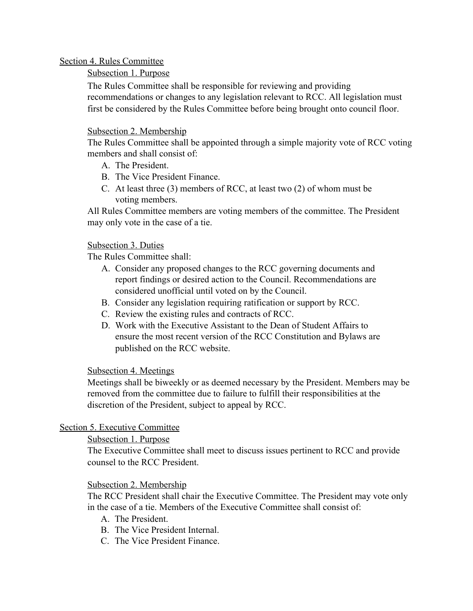# Section 4. Rules Committee

# Subsection 1. Purpose

The Rules Committee shall be responsible for reviewing and providing recommendations or changes to any legislation relevant to RCC. All legislation must first be considered by the Rules Committee before being brought onto council floor.

# Subsection 2. Membership

The Rules Committee shall be appointed through a simple majority vote of RCC voting members and shall consist of:

- A. The President.
- B. The Vice President Finance.
- C. At least three (3) members of RCC, at least two (2) of whom must be voting members.

All Rules Committee members are voting members of the committee. The President may only vote in the case of a tie.

# Subsection 3. Duties

The Rules Committee shall:

- A. Consider any proposed changes to the RCC governing documents and report findings or desired action to the Council. Recommendations are considered unofficial until voted on by the Council.
- B. Consider any legislation requiring ratification or support by RCC.
- C. Review the existing rules and contracts of RCC.
- D. Work with the Executive Assistant to the Dean of Student Affairs to ensure the most recent version of the RCC Constitution and Bylaws are published on the RCC website.

# Subsection 4. Meetings

Meetings shall be biweekly or as deemed necessary by the President. Members may be removed from the committee due to failure to fulfill their responsibilities at the discretion of the President, subject to appeal by RCC.

# Section 5. Executive Committee

# Subsection 1. Purpose

The Executive Committee shall meet to discuss issues pertinent to RCC and provide counsel to the RCC President.

# Subsection 2. Membership

The RCC President shall chair the Executive Committee. The President may vote only in the case of a tie. Members of the Executive Committee shall consist of:

- A. The President.
- B. The Vice President Internal.
- C. The Vice President Finance.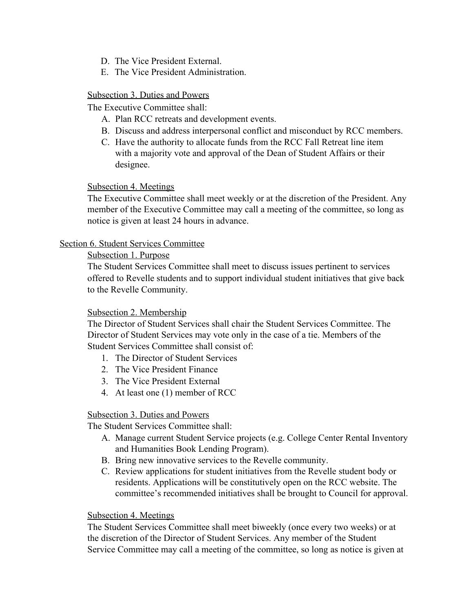- D. The Vice President External.
- E. The Vice President Administration.

# Subsection 3. Duties and Powers

The Executive Committee shall:

- A. Plan RCC retreats and development events.
- B. Discuss and address interpersonal conflict and misconduct by RCC members.
- C. Have the authority to allocate funds from the RCC Fall Retreat line item with a majority vote and approval of the Dean of Student Affairs or their designee.

# Subsection 4. Meetings

The Executive Committee shall meet weekly or at the discretion of the President. Any member of the Executive Committee may call a meeting of the committee, so long as notice is given at least 24 hours in advance.

# Section 6. Student Services Committee

#### Subsection 1. Purpose

The Student Services Committee shall meet to discuss issues pertinent to services offered to Revelle students and to support individual student initiatives that give back to the Revelle Community.

#### Subsection 2. Membership

The Director of Student Services shall chair the Student Services Committee. The Director of Student Services may vote only in the case of a tie. Members of the Student Services Committee shall consist of:

- 1. The Director of Student Services
- 2. The Vice President Finance
- 3. The Vice President External
- 4. At least one (1) member of RCC

#### Subsection 3. Duties and Powers

The Student Services Committee shall:

- A. Manage current Student Service projects (e.g. College Center Rental Inventory and Humanities Book Lending Program).
- B. Bring new innovative services to the Revelle community.
- C. Review applications for student initiatives from the Revelle student body or residents. Applications will be constitutively open on the RCC website. The committee's recommended initiatives shall be brought to Council for approval.

#### Subsection 4. Meetings

The Student Services Committee shall meet biweekly (once every two weeks) or at the discretion of the Director of Student Services. Any member of the Student Service Committee may call a meeting of the committee, so long as notice is given at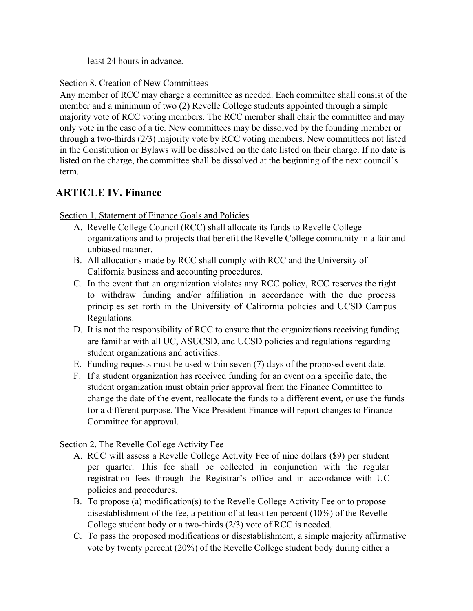least 24 hours in advance.

# Section 8. Creation of New Committees

Any member of RCC may charge a committee as needed. Each committee shall consist of the member and a minimum of two (2) Revelle College students appointed through a simple majority vote of RCC voting members. The RCC member shall chair the committee and may only vote in the case of a tie. New committees may be dissolved by the founding member or through a two-thirds (2/3) majority vote by RCC voting members. New committees not listed in the Constitution or Bylaws will be dissolved on the date listed on their charge. If no date is listed on the charge, the committee shall be dissolved at the beginning of the next council's term.

# **ARTICLE IV. Finance**

Section 1. Statement of Finance Goals and Policies

- A. Revelle College Council (RCC) shall allocate its funds to Revelle College organizations and to projects that benefit the Revelle College community in a fair and unbiased manner.
- B. All allocations made by RCC shall comply with RCC and the University of California business and accounting procedures.
- C. In the event that an organization violates any RCC policy, RCC reserves the right to withdraw funding and/or affiliation in accordance with the due process principles set forth in the University of California policies and UCSD Campus Regulations.
- D. It is not the responsibility of RCC to ensure that the organizations receiving funding are familiar with all UC, ASUCSD, and UCSD policies and regulations regarding student organizations and activities.
- E. Funding requests must be used within seven (7) days of the proposed event date.
- F. If a student organization has received funding for an event on a specific date, the student organization must obtain prior approval from the Finance Committee to change the date of the event, reallocate the funds to a different event, or use the funds for a different purpose. The Vice President Finance will report changes to Finance Committee for approval.

Section 2. The Revelle College Activity Fee

- A. RCC will assess a Revelle College Activity Fee of nine dollars (\$9) per student per quarter. This fee shall be collected in conjunction with the regular registration fees through the Registrar's office and in accordance with UC policies and procedures.
- B. To propose (a) modification(s) to the Revelle College Activity Fee or to propose disestablishment of the fee, a petition of at least ten percent (10%) of the Revelle College student body or a two-thirds (2/3) vote of RCC is needed.
- C. To pass the proposed modifications or disestablishment, a simple majority affirmative vote by twenty percent (20%) of the Revelle College student body during either a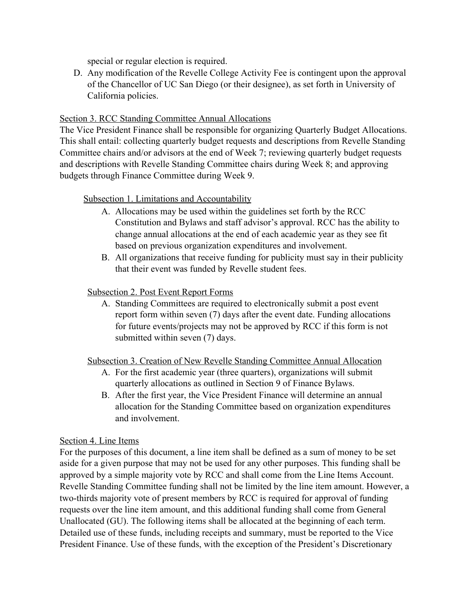special or regular election is required.

D. Any modification of the Revelle College Activity Fee is contingent upon the approval of the Chancellor of UC San Diego (or their designee), as set forth in University of California policies.

# Section 3. RCC Standing Committee Annual Allocations

The Vice President Finance shall be responsible for organizing Quarterly Budget Allocations. This shall entail: collecting quarterly budget requests and descriptions from Revelle Standing Committee chairs and/or advisors at the end of Week 7; reviewing quarterly budget requests and descriptions with Revelle Standing Committee chairs during Week 8; and approving budgets through Finance Committee during Week 9.

# Subsection 1. Limitations and Accountability

- A. Allocations may be used within the guidelines set forth by the RCC Constitution and Bylaws and staff advisor's approval. RCC has the ability to change annual allocations at the end of each academic year as they see fit based on previous organization expenditures and involvement.
- B. All organizations that receive funding for publicity must say in their publicity that their event was funded by Revelle student fees.

# Subsection 2. Post Event Report Forms

A. Standing Committees are required to electronically submit a post event report form within seven (7) days after the event date. Funding allocations for future events/projects may not be approved by RCC if this form is not submitted within seven (7) days.

# Subsection 3. Creation of New Revelle Standing Committee Annual Allocation

- A. For the first academic year (three quarters), organizations will submit quarterly allocations as outlined in Section 9 of Finance Bylaws.
- B. After the first year, the Vice President Finance will determine an annual allocation for the Standing Committee based on organization expenditures and involvement.

# Section 4. Line Items

For the purposes of this document, a line item shall be defined as a sum of money to be set aside for a given purpose that may not be used for any other purposes. This funding shall be approved by a simple majority vote by RCC and shall come from the Line Items Account. Revelle Standing Committee funding shall not be limited by the line item amount. However, a two-thirds majority vote of present members by RCC is required for approval of funding requests over the line item amount, and this additional funding shall come from General Unallocated (GU). The following items shall be allocated at the beginning of each term. Detailed use of these funds, including receipts and summary, must be reported to the Vice President Finance. Use of these funds, with the exception of the President's Discretionary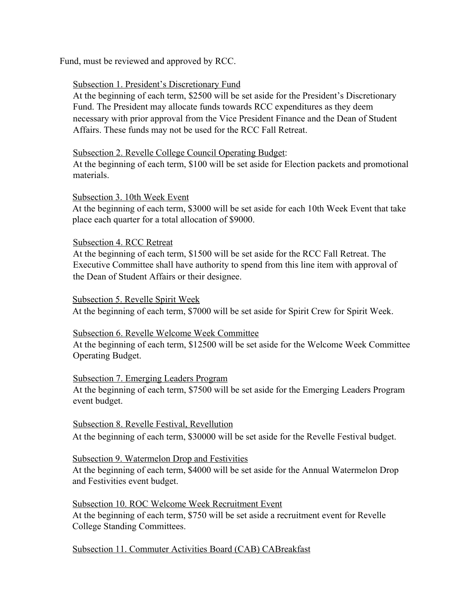Fund, must be reviewed and approved by RCC.

# Subsection 1. President's Discretionary Fund

At the beginning of each term, \$2500 will be set aside for the President's Discretionary Fund. The President may allocate funds towards RCC expenditures as they deem necessary with prior approval from the Vice President Finance and the Dean of Student Affairs. These funds may not be used for the RCC Fall Retreat.

# Subsection 2. Revelle College Council Operating Budget:

At the beginning of each term, \$100 will be set aside for Election packets and promotional materials.

# Subsection 3. 10th Week Event

At the beginning of each term, \$3000 will be set aside for each 10th Week Event that take place each quarter for a total allocation of \$9000.

# Subsection 4. RCC Retreat

At the beginning of each term, \$1500 will be set aside for the RCC Fall Retreat. The Executive Committee shall have authority to spend from this line item with approval of the Dean of Student Affairs or their designee.

#### Subsection 5. Revelle Spirit Week

At the beginning of each term, \$7000 will be set aside for Spirit Crew for Spirit Week.

# Subsection 6. Revelle Welcome Week Committee

At the beginning of each term, \$12500 will be set aside for the Welcome Week Committee Operating Budget.

#### Subsection 7. Emerging Leaders Program

At the beginning of each term, \$7500 will be set aside for the Emerging Leaders Program event budget.

#### Subsection 8. Revelle Festival, Revellution

At the beginning of each term, \$30000 will be set aside for the Revelle Festival budget.

# Subsection 9. Watermelon Drop and Festivities

At the beginning of each term, \$4000 will be set aside for the Annual Watermelon Drop and Festivities event budget.

#### Subsection 10. ROC Welcome Week Recruitment Event

At the beginning of each term, \$750 will be set aside a recruitment event for Revelle College Standing Committees.

# Subsection 11. Commuter Activities Board (CAB) CABreakfast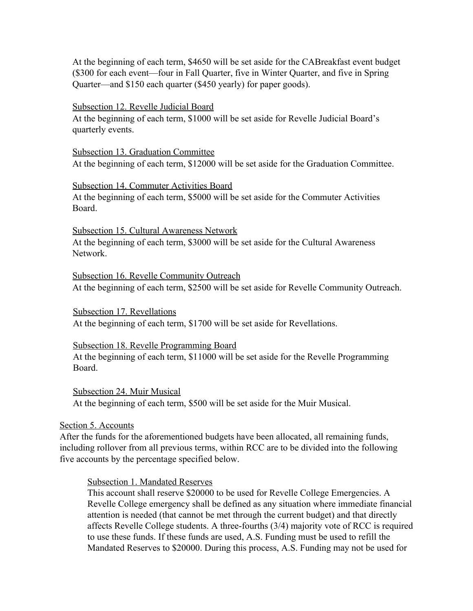At the beginning of each term, \$4650 will be set aside for the CABreakfast event budget (\$300 for each event—four in Fall Quarter, five in Winter Quarter, and five in Spring Quarter—and \$150 each quarter (\$450 yearly) for paper goods).

#### Subsection 12. Revelle Judicial Board

At the beginning of each term, \$1000 will be set aside for Revelle Judicial Board's quarterly events.

Subsection 13. Graduation Committee At the beginning of each term, \$12000 will be set aside for the Graduation Committee.

#### Subsection 14. Commuter Activities Board

At the beginning of each term, \$5000 will be set aside for the Commuter Activities Board.

#### Subsection 15. Cultural Awareness Network

At the beginning of each term, \$3000 will be set aside for the Cultural Awareness Network.

Subsection 16. Revelle Community Outreach At the beginning of each term, \$2500 will be set aside for Revelle Community Outreach.

Subsection 17. Revellations At the beginning of each term, \$1700 will be set aside for Revellations.

#### Subsection 18. Revelle Programming Board

At the beginning of each term, \$11000 will be set aside for the Revelle Programming Board.

Subsection 24. Muir Musical At the beginning of each term, \$500 will be set aside for the Muir Musical.

#### Section 5. Accounts

After the funds for the aforementioned budgets have been allocated, all remaining funds, including rollover from all previous terms, within RCC are to be divided into the following five accounts by the percentage specified below.

#### Subsection 1. Mandated Reserves

This account shall reserve \$20000 to be used for Revelle College Emergencies. A Revelle College emergency shall be defined as any situation where immediate financial attention is needed (that cannot be met through the current budget) and that directly affects Revelle College students. A three-fourths (3/4) majority vote of RCC is required to use these funds. If these funds are used, A.S. Funding must be used to refill the Mandated Reserves to \$20000. During this process, A.S. Funding may not be used for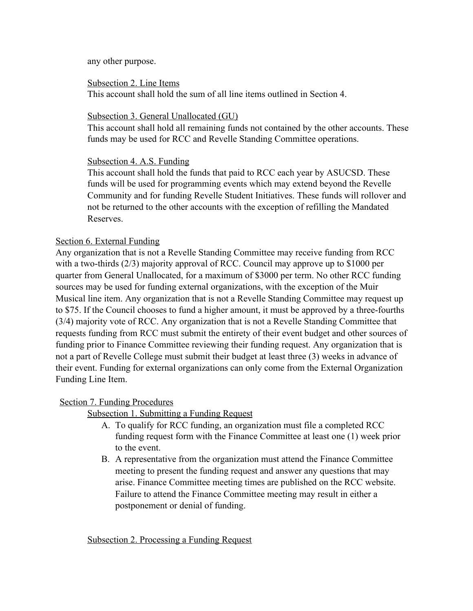any other purpose.

Subsection 2. Line Items

This account shall hold the sum of all line items outlined in Section 4.

#### Subsection 3. General Unallocated (GU)

This account shall hold all remaining funds not contained by the other accounts. These funds may be used for RCC and Revelle Standing Committee operations.

# Subsection 4. A.S. Funding

This account shall hold the funds that paid to RCC each year by ASUCSD. These funds will be used for programming events which may extend beyond the Revelle Community and for funding Revelle Student Initiatives. These funds will rollover and not be returned to the other accounts with the exception of refilling the Mandated Reserves.

# Section 6. External Funding

Any organization that is not a Revelle Standing Committee may receive funding from RCC with a two-thirds (2/3) majority approval of RCC. Council may approve up to \$1000 per quarter from General Unallocated, for a maximum of \$3000 per term. No other RCC funding sources may be used for funding external organizations, with the exception of the Muir Musical line item. Any organization that is not a Revelle Standing Committee may request up to \$75. If the Council chooses to fund a higher amount, it must be approved by a three-fourths (3/4) majority vote of RCC. Any organization that is not a Revelle Standing Committee that requests funding from RCC must submit the entirety of their event budget and other sources of funding prior to Finance Committee reviewing their funding request. Any organization that is not a part of Revelle College must submit their budget at least three (3) weeks in advance of their event. Funding for external organizations can only come from the External Organization Funding Line Item.

# Section 7. Funding Procedures

Subsection 1. Submitting a Funding Request

- A. To qualify for RCC funding, an organization must file a completed RCC funding request form with the Finance Committee at least one (1) week prior to the event.
- B. A representative from the organization must attend the Finance Committee meeting to present the funding request and answer any questions that may arise. Finance Committee meeting times are published on the RCC website. Failure to attend the Finance Committee meeting may result in either a postponement or denial of funding.

Subsection 2. Processing a Funding Request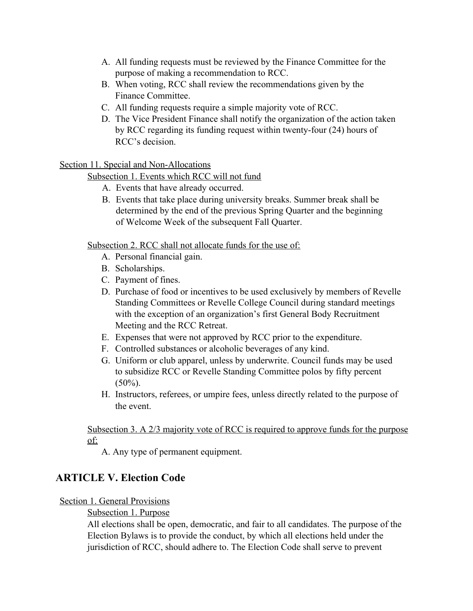- A. All funding requests must be reviewed by the Finance Committee for the purpose of making a recommendation to RCC.
- B. When voting, RCC shall review the recommendations given by the Finance Committee.
- C. All funding requests require a simple majority vote of RCC.
- D. The Vice President Finance shall notify the organization of the action taken by RCC regarding its funding request within twenty-four (24) hours of RCC's decision.

# Section 11. Special and Non-Allocations

Subsection 1. Events which RCC will not fund

- A. Events that have already occurred.
- B. Events that take place during university breaks. Summer break shall be determined by the end of the previous Spring Quarter and the beginning of Welcome Week of the subsequent Fall Quarter.

Subsection 2. RCC shall not allocate funds for the use of:

- A. Personal financial gain.
- B. Scholarships.
- C. Payment of fines.
- D. Purchase of food or incentives to be used exclusively by members of Revelle Standing Committees or Revelle College Council during standard meetings with the exception of an organization's first General Body Recruitment Meeting and the RCC Retreat.
- E. Expenses that were not approved by RCC prior to the expenditure.
- F. Controlled substances or alcoholic beverages of any kind.
- G. Uniform or club apparel, unless by underwrite. Council funds may be used to subsidize RCC or Revelle Standing Committee polos by fifty percent  $(50\%)$ .
- H. Instructors, referees, or umpire fees, unless directly related to the purpose of the event.

# Subsection 3. A 2/3 majority vote of RCC is required to approve funds for the purpose of:

A. Any type of permanent equipment.

# **ARTICLE V. Election Code**

# Section 1. General Provisions

# Subsection 1. Purpose

All elections shall be open, democratic, and fair to all candidates. The purpose of the Election Bylaws is to provide the conduct, by which all elections held under the jurisdiction of RCC, should adhere to. The Election Code shall serve to prevent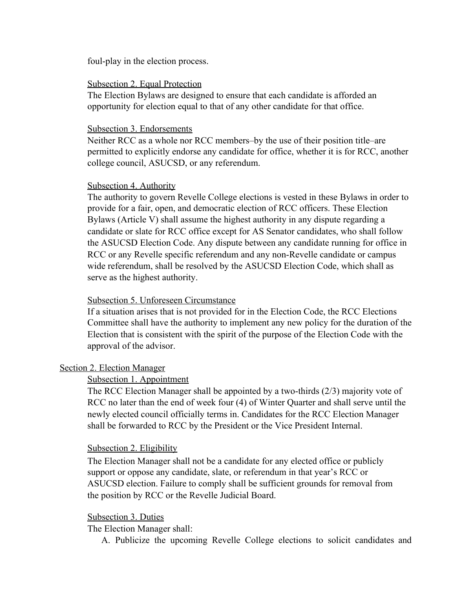foul-play in the election process.

#### Subsection 2. Equal Protection

The Election Bylaws are designed to ensure that each candidate is afforded an opportunity for election equal to that of any other candidate for that office.

#### Subsection 3. Endorsements

Neither RCC as a whole nor RCC members–by the use of their position title–are permitted to explicitly endorse any candidate for office, whether it is for RCC, another college council, ASUCSD, or any referendum.

#### Subsection 4. Authority

The authority to govern Revelle College elections is vested in these Bylaws in order to provide for a fair, open, and democratic election of RCC officers. These Election Bylaws (Article V) shall assume the highest authority in any dispute regarding a candidate or slate for RCC office except for AS Senator candidates, who shall follow the ASUCSD Election Code. Any dispute between any candidate running for office in RCC or any Revelle specific referendum and any non-Revelle candidate or campus wide referendum, shall be resolved by the ASUCSD Election Code, which shall as serve as the highest authority.

#### Subsection 5. Unforeseen Circumstance

If a situation arises that is not provided for in the Election Code, the RCC Elections Committee shall have the authority to implement any new policy for the duration of the Election that is consistent with the spirit of the purpose of the Election Code with the approval of the advisor.

#### Section 2. Election Manager

#### Subsection 1. Appointment

The RCC Election Manager shall be appointed by a two-thirds (2/3) majority vote of RCC no later than the end of week four (4) of Winter Quarter and shall serve until the newly elected council officially terms in. Candidates for the RCC Election Manager shall be forwarded to RCC by the President or the Vice President Internal.

#### Subsection 2. Eligibility

The Election Manager shall not be a candidate for any elected office or publicly support or oppose any candidate, slate, or referendum in that year's RCC or ASUCSD election. Failure to comply shall be sufficient grounds for removal from the position by RCC or the Revelle Judicial Board.

#### Subsection 3. Duties

The Election Manager shall:

A. Publicize the upcoming Revelle College elections to solicit candidates and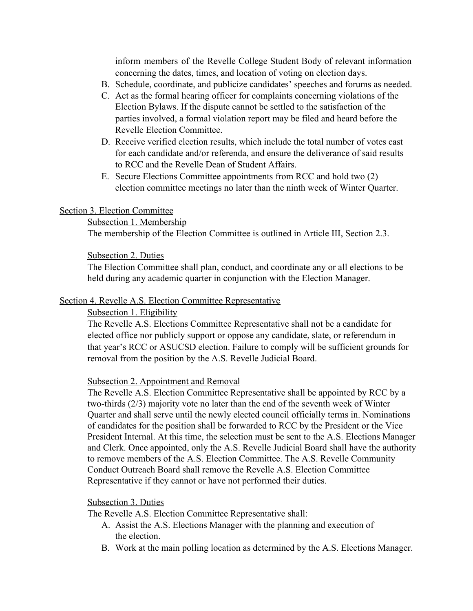inform members of the Revelle College Student Body of relevant information concerning the dates, times, and location of voting on election days.

- B. Schedule, coordinate, and publicize candidates' speeches and forums as needed.
- C. Act as the formal hearing officer for complaints concerning violations of the Election Bylaws. If the dispute cannot be settled to the satisfaction of the parties involved, a formal violation report may be filed and heard before the Revelle Election Committee.
- D. Receive verified election results, which include the total number of votes cast for each candidate and/or referenda, and ensure the deliverance of said results to RCC and the Revelle Dean of Student Affairs.
- E. Secure Elections Committee appointments from RCC and hold two (2) election committee meetings no later than the ninth week of Winter Quarter.

#### Section 3. Election Committee

#### Subsection 1. Membership

The membership of the Election Committee is outlined in Article III, Section 2.3.

#### Subsection 2. Duties

The Election Committee shall plan, conduct, and coordinate any or all elections to be held during any academic quarter in conjunction with the Election Manager.

#### Section 4. Revelle A.S. Election Committee Representative

#### Subsection 1. Eligibility

The Revelle A.S. Elections Committee Representative shall not be a candidate for elected office nor publicly support or oppose any candidate, slate, or referendum in that year's RCC or ASUCSD election. Failure to comply will be sufficient grounds for removal from the position by the A.S. Revelle Judicial Board.

#### Subsection 2. Appointment and Removal

The Revelle A.S. Election Committee Representative shall be appointed by RCC by a two-thirds (2/3) majority vote no later than the end of the seventh week of Winter Quarter and shall serve until the newly elected council officially terms in. Nominations of candidates for the position shall be forwarded to RCC by the President or the Vice President Internal. At this time, the selection must be sent to the A.S. Elections Manager and Clerk. Once appointed, only the A.S. Revelle Judicial Board shall have the authority to remove members of the A.S. Election Committee. The A.S. Revelle Community Conduct Outreach Board shall remove the Revelle A.S. Election Committee Representative if they cannot or have not performed their duties.

#### Subsection 3. Duties

The Revelle A.S. Election Committee Representative shall:

- A. Assist the A.S. Elections Manager with the planning and execution of the election.
- B. Work at the main polling location as determined by the A.S. Elections Manager.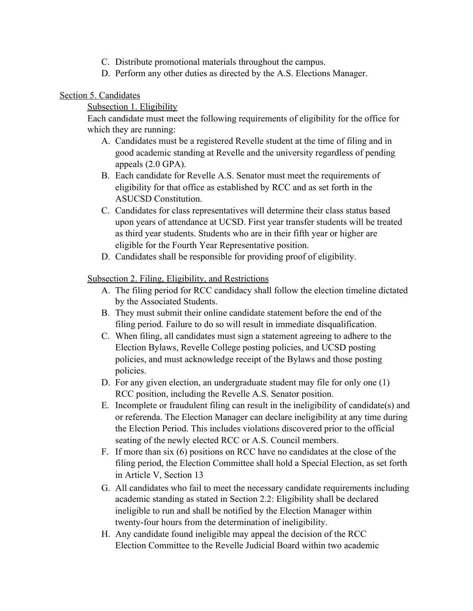- C. Distribute promotional materials throughout the campus.
- D. Perform any other duties as directed by the A.S. Elections Manager.

# Section 5. Candidates

Subsection 1. Eligibility

Each candidate must meet the following requirements of eligibility for the office for which they are running:

- A. Candidates must be a registered Revelle student at the time of filing and in good academic standing at Revelle and the university regardless of pending appeals (2.0 GPA).
- B. Each candidate for Revelle A.S. Senator must meet the requirements of eligibility for that office as established by RCC and as set forth in the ASUCSD Constitution.
- C. Candidates for class representatives will determine their class status based upon years of attendance at UCSD. First year transfer students will be treated as third year students. Students who are in their fifth year or higher are eligible for the Fourth Year Representative position.
- D. Candidates shall be responsible for providing proof of eligibility.

Subsection 2. Filing, Eligibility, and Restrictions

- A. The filing period for RCC candidacy shall follow the election timeline dictated by the Associated Students.
- B. They must submit their online candidate statement before the end of the filing period. Failure to do so will result in immediate disqualification.
- C. When filing, all candidates must sign a statement agreeing to adhere to the Election Bylaws, Revelle College posting policies, and UCSD posting policies, and must acknowledge receipt of the Bylaws and those posting policies.
- D. For any given election, an undergraduate student may file for only one (1) RCC position, including the Revelle A.S. Senator position.
- E. Incomplete or fraudulent filing can result in the ineligibility of candidate(s) and or referenda. The Election Manager can declare ineligibility at any time during the Election Period. This includes violations discovered prior to the official seating of the newly elected RCC or A.S. Council members.
- F. If more than six (6) positions on RCC have no candidates at the close of the filing period, the Election Committee shall hold a Special Election, as set forth in Article V, Section 13
- G. All candidates who fail to meet the necessary candidate requirements including academic standing as stated in Section 2.2: Eligibility shall be declared ineligible to run and shall be notified by the Election Manager within twenty-four hours from the determination of ineligibility.
- H. Any candidate found ineligible may appeal the decision of the RCC Election Committee to the Revelle Judicial Board within two academic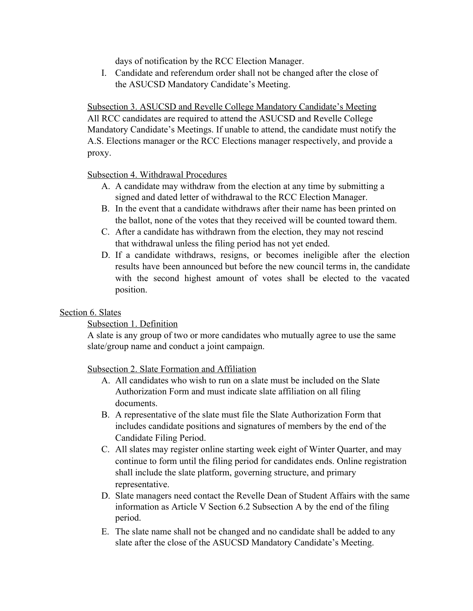days of notification by the RCC Election Manager.

I. Candidate and referendum order shall not be changed after the close of the ASUCSD Mandatory Candidate's Meeting.

Subsection 3. ASUCSD and Revelle College Mandatory Candidate's Meeting All RCC candidates are required to attend the ASUCSD and Revelle College Mandatory Candidate's Meetings. If unable to attend, the candidate must notify the A.S. Elections manager or the RCC Elections manager respectively, and provide a proxy.

# Subsection 4. Withdrawal Procedures

- A. A candidate may withdraw from the election at any time by submitting a signed and dated letter of withdrawal to the RCC Election Manager.
- B. In the event that a candidate withdraws after their name has been printed on the ballot, none of the votes that they received will be counted toward them.
- C. After a candidate has withdrawn from the election, they may not rescind that withdrawal unless the filing period has not yet ended.
- D. If a candidate withdraws, resigns, or becomes ineligible after the election results have been announced but before the new council terms in, the candidate with the second highest amount of votes shall be elected to the vacated position.

# Section 6. Slates

# Subsection 1. Definition

A slate is any group of two or more candidates who mutually agree to use the same slate/group name and conduct a joint campaign.

#### Subsection 2. Slate Formation and Affiliation

- A. All candidates who wish to run on a slate must be included on the Slate Authorization Form and must indicate slate affiliation on all filing documents.
- B. A representative of the slate must file the Slate Authorization Form that includes candidate positions and signatures of members by the end of the Candidate Filing Period.
- C. All slates may register online starting week eight of Winter Quarter, and may continue to form until the filing period for candidates ends. Online registration shall include the slate platform, governing structure, and primary representative.
- D. Slate managers need contact the Revelle Dean of Student Affairs with the same information as Article V Section 6.2 Subsection A by the end of the filing period.
- E. The slate name shall not be changed and no candidate shall be added to any slate after the close of the ASUCSD Mandatory Candidate's Meeting.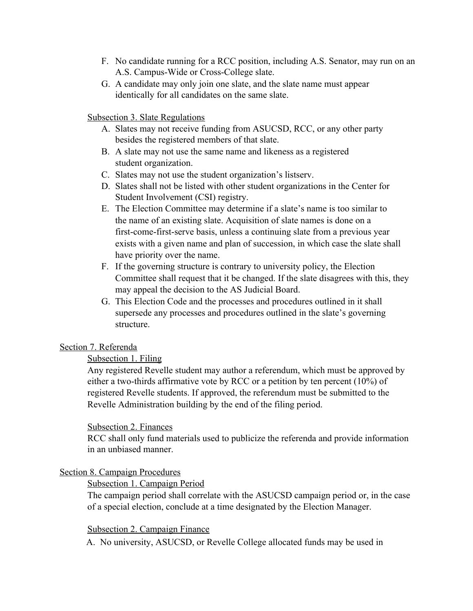- F. No candidate running for a RCC position, including A.S. Senator, may run on an A.S. Campus-Wide or Cross-College slate.
- G. A candidate may only join one slate, and the slate name must appear identically for all candidates on the same slate.

#### Subsection 3. Slate Regulations

- A. Slates may not receive funding from ASUCSD, RCC, or any other party besides the registered members of that slate.
- B. A slate may not use the same name and likeness as a registered student organization.
- C. Slates may not use the student organization's listserv.
- D. Slates shall not be listed with other student organizations in the Center for Student Involvement (CSI) registry.
- E. The Election Committee may determine if a slate's name is too similar to the name of an existing slate. Acquisition of slate names is done on a first-come-first-serve basis, unless a continuing slate from a previous year exists with a given name and plan of succession, in which case the slate shall have priority over the name.
- F. If the governing structure is contrary to university policy, the Election Committee shall request that it be changed. If the slate disagrees with this, they may appeal the decision to the AS Judicial Board.
- G. This Election Code and the processes and procedures outlined in it shall supersede any processes and procedures outlined in the slate's governing structure.

#### Section 7. Referenda

#### Subsection 1. Filing

Any registered Revelle student may author a referendum, which must be approved by either a two-thirds affirmative vote by RCC or a petition by ten percent (10%) of registered Revelle students. If approved, the referendum must be submitted to the Revelle Administration building by the end of the filing period.

#### Subsection 2. Finances

RCC shall only fund materials used to publicize the referenda and provide information in an unbiased manner.

#### Section 8. Campaign Procedures

#### Subsection 1. Campaign Period

The campaign period shall correlate with the ASUCSD campaign period or, in the case of a special election, conclude at a time designated by the Election Manager.

#### Subsection 2. Campaign Finance

A. No university, ASUCSD, or Revelle College allocated funds may be used in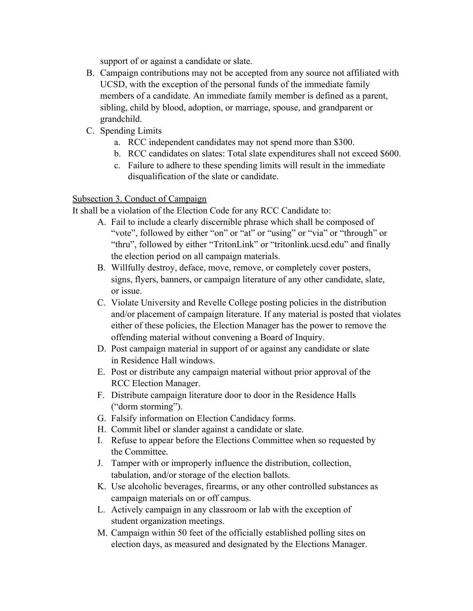support of or against a candidate or slate.

- B. Campaign contributions may not be accepted from any source not affiliated with UCSD, with the exception of the personal funds of the immediate family members of a candidate. An immediate family member is defined as a parent, sibling, child by blood, adoption, or marriage, spouse, and grandparent or grandchild.
- C. Spending Limits
	- a. RCC independent candidates may not spend more than \$300.
	- b. RCC candidates on slates: Total slate expenditures shall not exceed \$600.
	- c. Failure to adhere to these spending limits will result in the immediate disqualification of the slate or candidate.

# Subsection 3. Conduct of Campaign

It shall be a violation of the Election Code for any RCC Candidate to:

- A. Fail to include a clearly discernible phrase which shall be composed of "vote", followed by either "on" or "at" or "using" or "via" or "through" or "thru", followed by either "TritonLink" or "tritonlink.ucsd.edu" and finally the election period on all campaign materials.
- B. Willfully destroy, deface, move, remove, or completely cover posters, signs, flyers, banners, or campaign literature of any other candidate, slate, or issue.
- C. Violate University and Revelle College posting policies in the distribution and/or placement of campaign literature. If any material is posted that violates either of these policies, the Election Manager has the power to remove the offending material without convening a Board of Inquiry.
- D. Post campaign material in support of or against any candidate or slate in Residence Hall windows.
- E. Post or distribute any campaign material without prior approval of the RCC Election Manager.
- F. Distribute campaign literature door to door in the Residence Halls ("dorm storming").
- G. Falsify information on Election Candidacy forms.
- H. Commit libel or slander against a candidate or slate.
- I. Refuse to appear before the Elections Committee when so requested by the Committee.
- J. Tamper with or improperly influence the distribution, collection, tabulation, and/or storage of the election ballots.
- K. Use alcoholic beverages, firearms, or any other controlled substances as campaign materials on or off campus.
- L. Actively campaign in any classroom or lab with the exception of student organization meetings.
- M. Campaign within 50 feet of the officially established polling sites on election days, as measured and designated by the Elections Manager.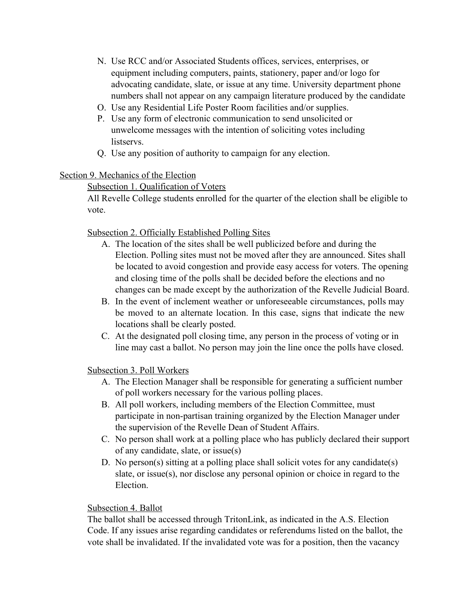- N. Use RCC and/or Associated Students offices, services, enterprises, or equipment including computers, paints, stationery, paper and/or logo for advocating candidate, slate, or issue at any time. University department phone numbers shall not appear on any campaign literature produced by the candidate
- O. Use any Residential Life Poster Room facilities and/or supplies.
- P. Use any form of electronic communication to send unsolicited or unwelcome messages with the intention of soliciting votes including listservs.
- Q. Use any position of authority to campaign for any election.

# Section 9. Mechanics of the Election

# Subsection 1. Qualification of Voters

All Revelle College students enrolled for the quarter of the election shall be eligible to vote.

# Subsection 2. Officially Established Polling Sites

- A. The location of the sites shall be well publicized before and during the Election. Polling sites must not be moved after they are announced. Sites shall be located to avoid congestion and provide easy access for voters. The opening and closing time of the polls shall be decided before the elections and no changes can be made except by the authorization of the Revelle Judicial Board.
- B. In the event of inclement weather or unforeseeable circumstances, polls may be moved to an alternate location. In this case, signs that indicate the new locations shall be clearly posted.
- C. At the designated poll closing time, any person in the process of voting or in line may cast a ballot. No person may join the line once the polls have closed.

# Subsection 3. Poll Workers

- A. The Election Manager shall be responsible for generating a sufficient number of poll workers necessary for the various polling places.
- B. All poll workers, including members of the Election Committee, must participate in non-partisan training organized by the Election Manager under the supervision of the Revelle Dean of Student Affairs.
- C. No person shall work at a polling place who has publicly declared their support of any candidate, slate, or issue(s)
- D. No person(s) sitting at a polling place shall solicit votes for any candidate(s) slate, or issue(s), nor disclose any personal opinion or choice in regard to the Election.

# Subsection 4. Ballot

The ballot shall be accessed through TritonLink, as indicated in the A.S. Election Code. If any issues arise regarding candidates or referendums listed on the ballot, the vote shall be invalidated. If the invalidated vote was for a position, then the vacancy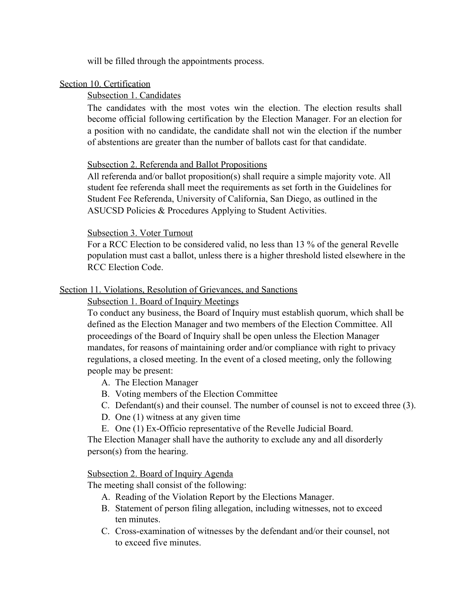will be filled through the appointments process.

# Section 10. Certification

# Subsection 1. Candidates

The candidates with the most votes win the election. The election results shall become official following certification by the Election Manager. For an election for a position with no candidate, the candidate shall not win the election if the number of abstentions are greater than the number of ballots cast for that candidate.

# Subsection 2. Referenda and Ballot Propositions

All referenda and/or ballot proposition(s) shall require a simple majority vote. All student fee referenda shall meet the requirements as set forth in the Guidelines for Student Fee Referenda, University of California, San Diego, as outlined in the ASUCSD Policies & Procedures Applying to Student Activities.

# Subsection 3. Voter Turnout

For a RCC Election to be considered valid, no less than 13 % of the general Revelle population must cast a ballot, unless there is a higher threshold listed elsewhere in the RCC Election Code.

# Section 11. Violations, Resolution of Grievances, and Sanctions

# Subsection 1. Board of Inquiry Meetings

To conduct any business, the Board of Inquiry must establish quorum, which shall be defined as the Election Manager and two members of the Election Committee. All proceedings of the Board of Inquiry shall be open unless the Election Manager mandates, for reasons of maintaining order and/or compliance with right to privacy regulations, a closed meeting. In the event of a closed meeting, only the following people may be present:

- A. The Election Manager
- B. Voting members of the Election Committee
- C. Defendant(s) and their counsel. The number of counsel is not to exceed three (3).
- D. One (1) witness at any given time
- E. One (1) Ex-Officio representative of the Revelle Judicial Board.

The Election Manager shall have the authority to exclude any and all disorderly person(s) from the hearing.

# Subsection 2. Board of Inquiry Agenda

The meeting shall consist of the following:

- A. Reading of the Violation Report by the Elections Manager.
- B. Statement of person filing allegation, including witnesses, not to exceed ten minutes.
- C. Cross-examination of witnesses by the defendant and/or their counsel, not to exceed five minutes.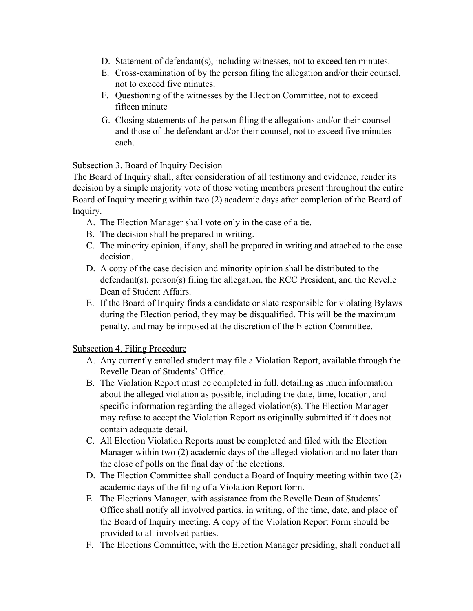- D. Statement of defendant(s), including witnesses, not to exceed ten minutes.
- E. Cross-examination of by the person filing the allegation and/or their counsel, not to exceed five minutes.
- F. Questioning of the witnesses by the Election Committee, not to exceed fifteen minute
- G. Closing statements of the person filing the allegations and/or their counsel and those of the defendant and/or their counsel, not to exceed five minutes each.

# Subsection 3. Board of Inquiry Decision

The Board of Inquiry shall, after consideration of all testimony and evidence, render its decision by a simple majority vote of those voting members present throughout the entire Board of Inquiry meeting within two (2) academic days after completion of the Board of Inquiry.

- A. The Election Manager shall vote only in the case of a tie.
- B. The decision shall be prepared in writing.
- C. The minority opinion, if any, shall be prepared in writing and attached to the case decision.
- D. A copy of the case decision and minority opinion shall be distributed to the defendant(s), person(s) filing the allegation, the RCC President, and the Revelle Dean of Student Affairs.
- E. If the Board of Inquiry finds a candidate or slate responsible for violating Bylaws during the Election period, they may be disqualified. This will be the maximum penalty, and may be imposed at the discretion of the Election Committee.

# Subsection 4. Filing Procedure

- A. Any currently enrolled student may file a Violation Report, available through the Revelle Dean of Students' Office.
- B. The Violation Report must be completed in full, detailing as much information about the alleged violation as possible, including the date, time, location, and specific information regarding the alleged violation(s). The Election Manager may refuse to accept the Violation Report as originally submitted if it does not contain adequate detail.
- C. All Election Violation Reports must be completed and filed with the Election Manager within two (2) academic days of the alleged violation and no later than the close of polls on the final day of the elections.
- D. The Election Committee shall conduct a Board of Inquiry meeting within two (2) academic days of the filing of a Violation Report form.
- E. The Elections Manager, with assistance from the Revelle Dean of Students' Office shall notify all involved parties, in writing, of the time, date, and place of the Board of Inquiry meeting. A copy of the Violation Report Form should be provided to all involved parties.
- F. The Elections Committee, with the Election Manager presiding, shall conduct all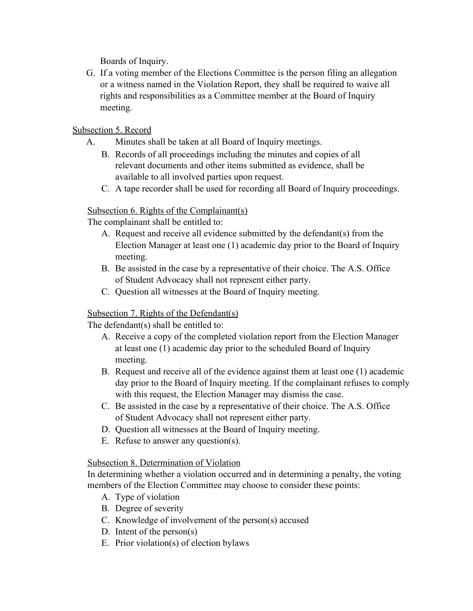Boards of Inquiry.

G. If a voting member of the Elections Committee is the person filing an allegation or a witness named in the Violation Report, they shall be required to waive all rights and responsibilities as a Committee member at the Board of Inquiry meeting.

# Subsection 5. Record

- A. Minutes shall be taken at all Board of Inquiry meetings.
	- B. Records of all proceedings including the minutes and copies of all relevant documents and other items submitted as evidence, shall be available to all involved parties upon request.
	- C. A tape recorder shall be used for recording all Board of Inquiry proceedings.

# Subsection 6. Rights of the Complainant(s)

The complainant shall be entitled to:

- A. Request and receive all evidence submitted by the defendant(s) from the Election Manager at least one (1) academic day prior to the Board of Inquiry meeting.
- B. Be assisted in the case by a representative of their choice. The A.S. Office of Student Advocacy shall not represent either party.
- C. Question all witnesses at the Board of Inquiry meeting.

# Subsection 7. Rights of the Defendant(s)

The defendant(s) shall be entitled to:

- A. Receive a copy of the completed violation report from the Election Manager at least one (1) academic day prior to the scheduled Board of Inquiry meeting.
- B. Request and receive all of the evidence against them at least one (1) academic day prior to the Board of Inquiry meeting. If the complainant refuses to comply with this request, the Election Manager may dismiss the case.
- C. Be assisted in the case by a representative of their choice. The A.S. Office of Student Advocacy shall not represent either party.
- D. Question all witnesses at the Board of Inquiry meeting.
- E. Refuse to answer any question(s).

# Subsection 8. Determination of Violation

In determining whether a violation occurred and in determining a penalty, the voting members of the Election Committee may choose to consider these points:

- A. Type of violation
- B. Degree of severity
- C. Knowledge of involvement of the person(s) accused
- D. Intent of the person(s)
- E. Prior violation(s) of election bylaws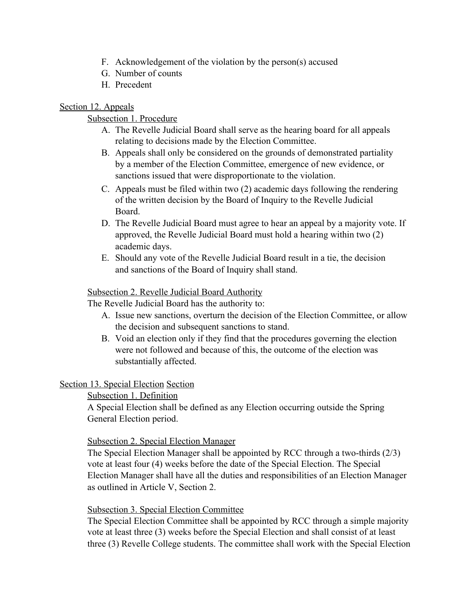- F. Acknowledgement of the violation by the person(s) accused
- G. Number of counts
- H. Precedent

# Section 12. Appeals

# Subsection 1. Procedure

- A. The Revelle Judicial Board shall serve as the hearing board for all appeals relating to decisions made by the Election Committee.
- B. Appeals shall only be considered on the grounds of demonstrated partiality by a member of the Election Committee, emergence of new evidence, or sanctions issued that were disproportionate to the violation.
- C. Appeals must be filed within two (2) academic days following the rendering of the written decision by the Board of Inquiry to the Revelle Judicial Board.
- D. The Revelle Judicial Board must agree to hear an appeal by a majority vote. If approved, the Revelle Judicial Board must hold a hearing within two (2) academic days.
- E. Should any vote of the Revelle Judicial Board result in a tie, the decision and sanctions of the Board of Inquiry shall stand.

# Subsection 2. Revelle Judicial Board Authority

The Revelle Judicial Board has the authority to:

- A. Issue new sanctions, overturn the decision of the Election Committee, or allow the decision and subsequent sanctions to stand.
- B. Void an election only if they find that the procedures governing the election were not followed and because of this, the outcome of the election was substantially affected.

# Section 13. Special Election Section

# Subsection 1. Definition

A Special Election shall be defined as any Election occurring outside the Spring General Election period.

# Subsection 2. Special Election Manager

The Special Election Manager shall be appointed by RCC through a two-thirds (2/3) vote at least four (4) weeks before the date of the Special Election. The Special Election Manager shall have all the duties and responsibilities of an Election Manager as outlined in Article V, Section 2.

# Subsection 3. Special Election Committee

The Special Election Committee shall be appointed by RCC through a simple majority vote at least three (3) weeks before the Special Election and shall consist of at least three (3) Revelle College students. The committee shall work with the Special Election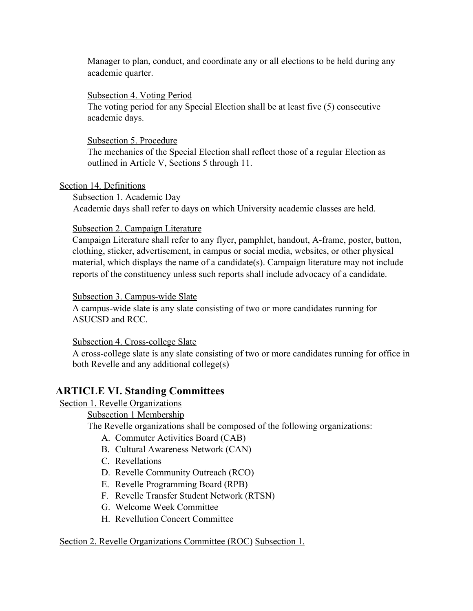Manager to plan, conduct, and coordinate any or all elections to be held during any academic quarter.

# Subsection 4. Voting Period

The voting period for any Special Election shall be at least five (5) consecutive academic days.

# Subsection 5. Procedure

The mechanics of the Special Election shall reflect those of a regular Election as outlined in Article V, Sections 5 through 11.

# Section 14. Definitions

Subsection 1. Academic Day

Academic days shall refer to days on which University academic classes are held.

# Subsection 2. Campaign Literature

Campaign Literature shall refer to any flyer, pamphlet, handout, A-frame, poster, button, clothing, sticker, advertisement, in campus or social media, websites, or other physical material, which displays the name of a candidate(s). Campaign literature may not include reports of the constituency unless such reports shall include advocacy of a candidate.

# Subsection 3. Campus-wide Slate

A campus-wide slate is any slate consisting of two or more candidates running for ASUCSD and RCC.

# Subsection 4. Cross-college Slate

A cross-college slate is any slate consisting of two or more candidates running for office in both Revelle and any additional college(s)

# **ARTICLE VI. Standing Committees**

# Section 1. Revelle Organizations

Subsection 1 Membership

The Revelle organizations shall be composed of the following organizations:

- A. Commuter Activities Board (CAB)
- B. Cultural Awareness Network (CAN)
- C. Revellations
- D. Revelle Community Outreach (RCO)
- E. Revelle Programming Board (RPB)
- F. Revelle Transfer Student Network (RTSN)
- G. Welcome Week Committee
- H. Revellution Concert Committee

# Section 2. Revelle Organizations Committee (ROC) Subsection 1.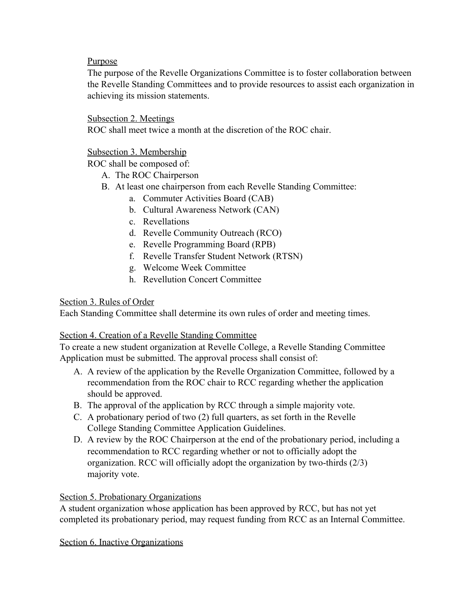# Purpose

The purpose of the Revelle Organizations Committee is to foster collaboration between the Revelle Standing Committees and to provide resources to assist each organization in achieving its mission statements.

# Subsection 2. Meetings

ROC shall meet twice a month at the discretion of the ROC chair.

# Subsection 3. Membership

ROC shall be composed of:

- A. The ROC Chairperson
- B. At least one chairperson from each Revelle Standing Committee:
	- a. Commuter Activities Board (CAB)
	- b. Cultural Awareness Network (CAN)
	- c. Revellations
	- d. Revelle Community Outreach (RCO)
	- e. Revelle Programming Board (RPB)
	- f. Revelle Transfer Student Network (RTSN)
	- g. Welcome Week Committee
	- h. Revellution Concert Committee

# Section 3. Rules of Order

Each Standing Committee shall determine its own rules of order and meeting times.

# Section 4. Creation of a Revelle Standing Committee

To create a new student organization at Revelle College, a Revelle Standing Committee Application must be submitted. The approval process shall consist of:

- A. A review of the application by the Revelle Organization Committee, followed by a recommendation from the ROC chair to RCC regarding whether the application should be approved.
- B. The approval of the application by RCC through a simple majority vote.
- C. A probationary period of two (2) full quarters, as set forth in the Revelle College Standing Committee Application Guidelines.
- D. A review by the ROC Chairperson at the end of the probationary period, including a recommendation to RCC regarding whether or not to officially adopt the organization. RCC will officially adopt the organization by two-thirds (2/3) majority vote.

# Section 5. Probationary Organizations

A student organization whose application has been approved by RCC, but has not yet completed its probationary period, may request funding from RCC as an Internal Committee.

Section 6. Inactive Organizations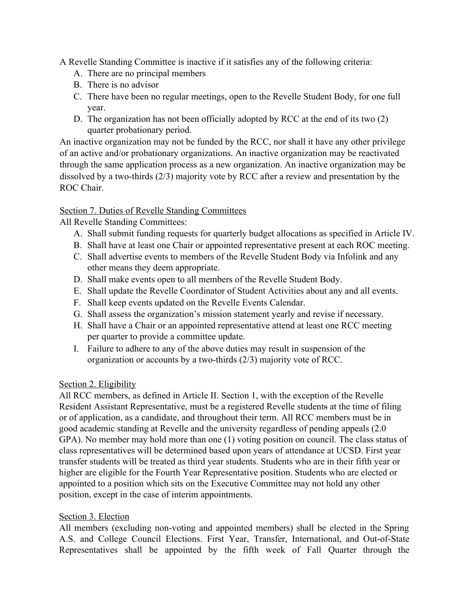A Revelle Standing Committee is inactive if it satisfies any of the following criteria:

- A. There are no principal members
- B. There is no advisor
- C. There have been no regular meetings, open to the Revelle Student Body, for one full year.
- D. The organization has not been officially adopted by RCC at the end of its two (2) quarter probationary period.

An inactive organization may not be funded by the RCC, nor shall it have any other privilege of an active and/or probationary organizations. An inactive organization may be reactivated through the same application process as a new organization. An inactive organization may be dissolved by a two-thirds (2/3) majority vote by RCC after a review and presentation by the ROC Chair.

# Section 7. Duties of Revelle Standing Committees

All Revelle Standing Committees:

- A. Shall submit funding requests for quarterly budget allocations as specified in Article IV.
- B. Shall have at least one Chair or appointed representative present at each ROC meeting.
- C. Shall advertise events to members of the Revelle Student Body via Infolink and any other means they deem appropriate.
- D. Shall make events open to all members of the Revelle Student Body.
- E. Shall update the Revelle Coordinator of Student Activities about any and all events.
- F. Shall keep events updated on the Revelle Events Calendar.
- G. Shall assess the organization's mission statement yearly and revise if necessary.
- H. Shall have a Chair or an appointed representative attend at least one RCC meeting per quarter to provide a committee update.
- I. Failure to adhere to any of the above duties may result in suspension of the organization or accounts by a two-thirds (2/3) majority vote of RCC.

# Section 2. Eligibility

All RCC members, as defined in Article II. Section 1, with the exception of the Revelle Resident Assistant Representative, must be a registered Revelle students at the time of filing or of application, as a candidate, and throughout their term. All RCC members must be in good academic standing at Revelle and the university regardless of pending appeals (2.0 GPA). No member may hold more than one (1) voting position on council. The class status of class representatives will be determined based upon years of attendance at UCSD. First year transfer students will be treated as third year students. Students who are in their fifth year or higher are eligible for the Fourth Year Representative position. Students who are elected or appointed to a position which sits on the Executive Committee may not hold any other position, except in the case of interim appointments.

# Section 3. Election

All members (excluding non-voting and appointed members) shall be elected in the Spring A.S. and College Council Elections. First Year, Transfer, International, and Out-of-State Representatives shall be appointed by the fifth week of Fall Quarter through the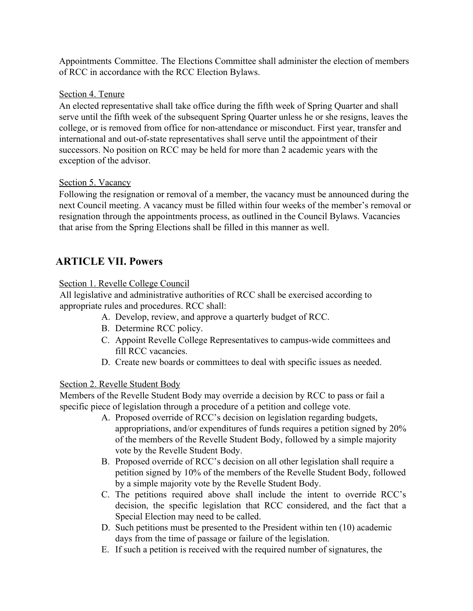Appointments Committee. The Elections Committee shall administer the election of members of RCC in accordance with the RCC Election Bylaws.

# Section 4. Tenure

An elected representative shall take office during the fifth week of Spring Quarter and shall serve until the fifth week of the subsequent Spring Quarter unless he or she resigns, leaves the college, or is removed from office for non-attendance or misconduct. First year, transfer and international and out-of-state representatives shall serve until the appointment of their successors. No position on RCC may be held for more than 2 academic years with the exception of the advisor.

# Section 5. Vacancy

Following the resignation or removal of a member, the vacancy must be announced during the next Council meeting. A vacancy must be filled within four weeks of the member's removal or resignation through the appointments process, as outlined in the Council Bylaws. Vacancies that arise from the Spring Elections shall be filled in this manner as well.

# **ARTICLE VII. Powers**

# Section 1. Revelle College Council

All legislative and administrative authorities of RCC shall be exercised according to appropriate rules and procedures. RCC shall:

- A. Develop, review, and approve a quarterly budget of RCC.
- B. Determine RCC policy.
- C. Appoint Revelle College Representatives to campus-wide committees and fill RCC vacancies.
- D. Create new boards or committees to deal with specific issues as needed.

# Section 2. Revelle Student Body

Members of the Revelle Student Body may override a decision by RCC to pass or fail a specific piece of legislation through a procedure of a petition and college vote.

- A. Proposed override of RCC's decision on legislation regarding budgets, appropriations, and/or expenditures of funds requires a petition signed by 20% of the members of the Revelle Student Body, followed by a simple majority vote by the Revelle Student Body.
- B. Proposed override of RCC's decision on all other legislation shall require a petition signed by 10% of the members of the Revelle Student Body, followed by a simple majority vote by the Revelle Student Body.
- C. The petitions required above shall include the intent to override RCC's decision, the specific legislation that RCC considered, and the fact that a Special Election may need to be called.
- D. Such petitions must be presented to the President within ten (10) academic days from the time of passage or failure of the legislation.
- E. If such a petition is received with the required number of signatures, the